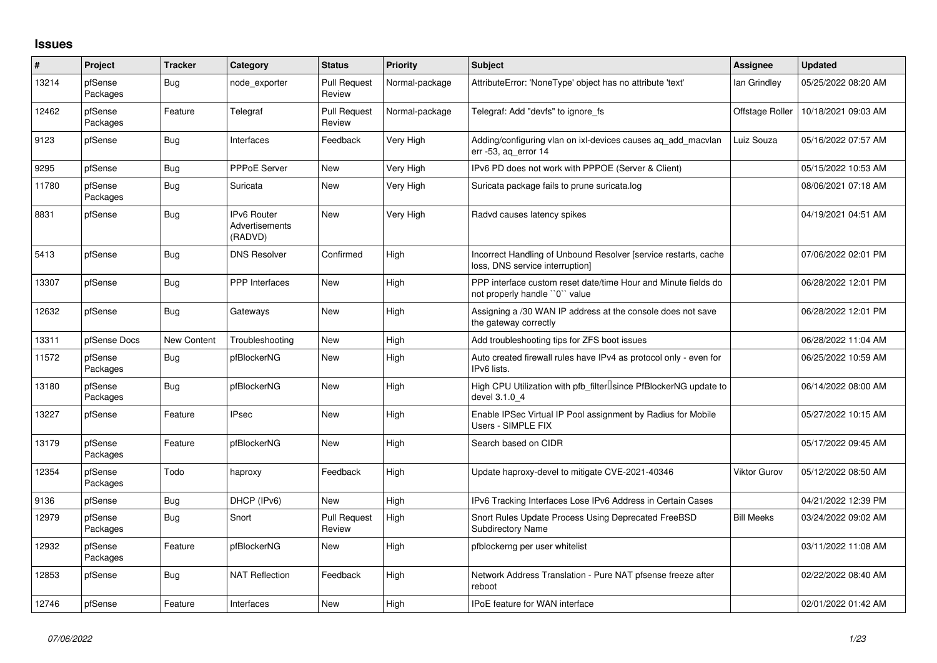## **Issues**

| #     | Project             | <b>Tracker</b> | Category                                        | <b>Status</b>                 | Priority       | <b>Subject</b>                                                                                     | Assignee            | <b>Updated</b>      |
|-------|---------------------|----------------|-------------------------------------------------|-------------------------------|----------------|----------------------------------------------------------------------------------------------------|---------------------|---------------------|
| 13214 | pfSense<br>Packages | Bug            | node exporter                                   | <b>Pull Request</b><br>Review | Normal-package | AttributeError: 'NoneType' object has no attribute 'text'                                          | lan Grindley        | 05/25/2022 08:20 AM |
| 12462 | pfSense<br>Packages | Feature        | Telegraf                                        | <b>Pull Request</b><br>Review | Normal-package | Telegraf: Add "devfs" to ignore fs                                                                 | Offstage Roller     | 10/18/2021 09:03 AM |
| 9123  | pfSense             | Bug            | Interfaces                                      | Feedback                      | Very High      | Adding/configuring vlan on ixl-devices causes ag add macvlan<br>err -53, ag error 14               | Luiz Souza          | 05/16/2022 07:57 AM |
| 9295  | pfSense             | Bug            | <b>PPPoE Server</b>                             | <b>New</b>                    | Very High      | IPv6 PD does not work with PPPOE (Server & Client)                                                 |                     | 05/15/2022 10:53 AM |
| 11780 | pfSense<br>Packages | Bug            | Suricata                                        | <b>New</b>                    | Very High      | Suricata package fails to prune suricata.log                                                       |                     | 08/06/2021 07:18 AM |
| 8831  | pfSense             | Bug            | <b>IPv6 Router</b><br>Advertisements<br>(RADVD) | <b>New</b>                    | Very High      | Radvd causes latency spikes                                                                        |                     | 04/19/2021 04:51 AM |
| 5413  | pfSense             | <b>Bug</b>     | <b>DNS Resolver</b>                             | Confirmed                     | High           | Incorrect Handling of Unbound Resolver [service restarts, cache<br>loss, DNS service interruption] |                     | 07/06/2022 02:01 PM |
| 13307 | pfSense             | Bug            | <b>PPP</b> Interfaces                           | <b>New</b>                    | High           | PPP interface custom reset date/time Hour and Minute fields do<br>not properly handle "0" value    |                     | 06/28/2022 12:01 PM |
| 12632 | pfSense             | Bug            | Gateways                                        | <b>New</b>                    | High           | Assigning a /30 WAN IP address at the console does not save<br>the gateway correctly               |                     | 06/28/2022 12:01 PM |
| 13311 | pfSense Docs        | New Content    | Troubleshooting                                 | <b>New</b>                    | High           | Add troubleshooting tips for ZFS boot issues                                                       |                     | 06/28/2022 11:04 AM |
| 11572 | pfSense<br>Packages | Bug            | pfBlockerNG                                     | <b>New</b>                    | High           | Auto created firewall rules have IPv4 as protocol only - even for<br>IPv6 lists.                   |                     | 06/25/2022 10:59 AM |
| 13180 | pfSense<br>Packages | Bug            | pfBlockerNG                                     | <b>New</b>                    | High           | High CPU Utilization with pfb filter Isince PfBlockerNG update to<br>devel 3.1.0 4                 |                     | 06/14/2022 08:00 AM |
| 13227 | pfSense             | Feature        | <b>IPsec</b>                                    | <b>New</b>                    | High           | Enable IPSec Virtual IP Pool assignment by Radius for Mobile<br>Users - SIMPLE FIX                 |                     | 05/27/2022 10:15 AM |
| 13179 | pfSense<br>Packages | Feature        | pfBlockerNG                                     | <b>New</b>                    | High           | Search based on CIDR                                                                               |                     | 05/17/2022 09:45 AM |
| 12354 | pfSense<br>Packages | Todo           | haproxy                                         | Feedback                      | High           | Update haproxy-devel to mitigate CVE-2021-40346                                                    | <b>Viktor Gurov</b> | 05/12/2022 08:50 AM |
| 9136  | pfSense             | Bug            | DHCP (IPv6)                                     | <b>New</b>                    | High           | IPv6 Tracking Interfaces Lose IPv6 Address in Certain Cases                                        |                     | 04/21/2022 12:39 PM |
| 12979 | pfSense<br>Packages | Bug            | Snort                                           | <b>Pull Request</b><br>Review | High           | Snort Rules Update Process Using Deprecated FreeBSD<br><b>Subdirectory Name</b>                    | <b>Bill Meeks</b>   | 03/24/2022 09:02 AM |
| 12932 | pfSense<br>Packages | Feature        | pfBlockerNG                                     | <b>New</b>                    | High           | pfblockerng per user whitelist                                                                     |                     | 03/11/2022 11:08 AM |
| 12853 | pfSense             | Bug            | <b>NAT Reflection</b>                           | Feedback                      | High           | Network Address Translation - Pure NAT pfsense freeze after<br>reboot                              |                     | 02/22/2022 08:40 AM |
| 12746 | pfSense             | Feature        | Interfaces                                      | <b>New</b>                    | High           | <b>IPoE</b> feature for WAN interface                                                              |                     | 02/01/2022 01:42 AM |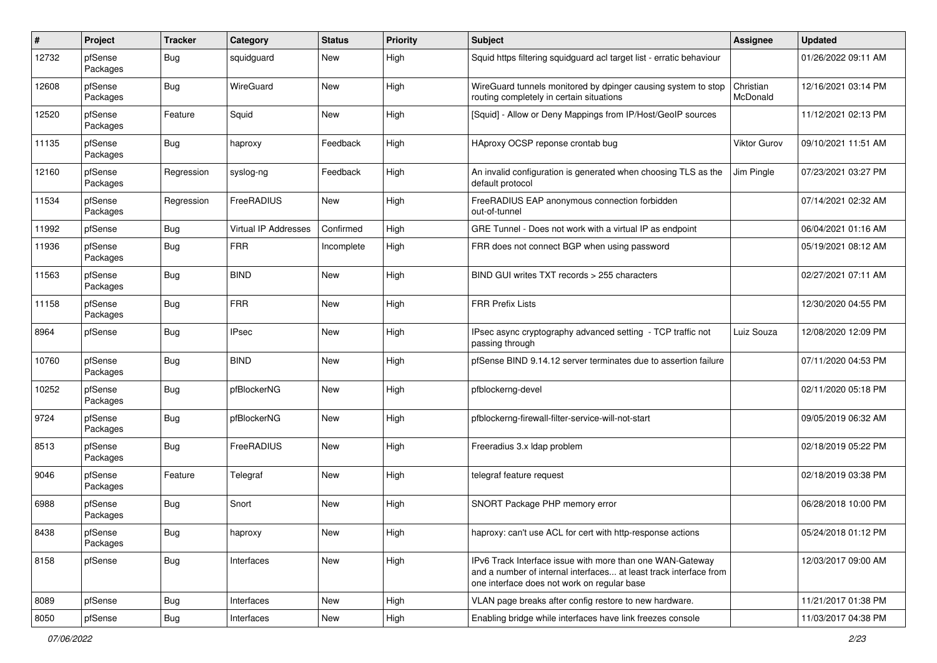| #     | Project             | <b>Tracker</b> | Category             | <b>Status</b> | <b>Priority</b> | Subject                                                                                                                                                                       | Assignee              | <b>Updated</b>      |
|-------|---------------------|----------------|----------------------|---------------|-----------------|-------------------------------------------------------------------------------------------------------------------------------------------------------------------------------|-----------------------|---------------------|
| 12732 | pfSense<br>Packages | Bug            | squidguard           | New           | High            | Squid https filtering squidguard acl target list - erratic behaviour                                                                                                          |                       | 01/26/2022 09:11 AM |
| 12608 | pfSense<br>Packages | Bug            | WireGuard            | <b>New</b>    | High            | WireGuard tunnels monitored by dpinger causing system to stop<br>routing completely in certain situations                                                                     | Christian<br>McDonald | 12/16/2021 03:14 PM |
| 12520 | pfSense<br>Packages | Feature        | Squid                | <b>New</b>    | High            | [Squid] - Allow or Deny Mappings from IP/Host/GeoIP sources                                                                                                                   |                       | 11/12/2021 02:13 PM |
| 11135 | pfSense<br>Packages | <b>Bug</b>     | haproxy              | Feedback      | High            | HAproxy OCSP reponse crontab bug                                                                                                                                              | Viktor Gurov          | 09/10/2021 11:51 AM |
| 12160 | pfSense<br>Packages | Regression     | syslog-ng            | Feedback      | High            | An invalid configuration is generated when choosing TLS as the<br>default protocol                                                                                            | Jim Pingle            | 07/23/2021 03:27 PM |
| 11534 | pfSense<br>Packages | Regression     | FreeRADIUS           | New           | High            | FreeRADIUS EAP anonymous connection forbidden<br>out-of-tunnel                                                                                                                |                       | 07/14/2021 02:32 AM |
| 11992 | pfSense             | <b>Bug</b>     | Virtual IP Addresses | Confirmed     | High            | GRE Tunnel - Does not work with a virtual IP as endpoint                                                                                                                      |                       | 06/04/2021 01:16 AM |
| 11936 | pfSense<br>Packages | Bug            | <b>FRR</b>           | Incomplete    | High            | FRR does not connect BGP when using password                                                                                                                                  |                       | 05/19/2021 08:12 AM |
| 11563 | pfSense<br>Packages | Bug            | <b>BIND</b>          | <b>New</b>    | High            | BIND GUI writes TXT records > 255 characters                                                                                                                                  |                       | 02/27/2021 07:11 AM |
| 11158 | pfSense<br>Packages | <b>Bug</b>     | <b>FRR</b>           | <b>New</b>    | High            | <b>FRR Prefix Lists</b>                                                                                                                                                       |                       | 12/30/2020 04:55 PM |
| 8964  | pfSense             | <b>Bug</b>     | <b>IPsec</b>         | <b>New</b>    | High            | IPsec async cryptography advanced setting - TCP traffic not<br>passing through                                                                                                | Luiz Souza            | 12/08/2020 12:09 PM |
| 10760 | pfSense<br>Packages | <b>Bug</b>     | <b>BIND</b>          | <b>New</b>    | High            | pfSense BIND 9.14.12 server terminates due to assertion failure                                                                                                               |                       | 07/11/2020 04:53 PM |
| 10252 | pfSense<br>Packages | <b>Bug</b>     | pfBlockerNG          | <b>New</b>    | High            | pfblockerng-devel                                                                                                                                                             |                       | 02/11/2020 05:18 PM |
| 9724  | pfSense<br>Packages | <b>Bug</b>     | pfBlockerNG          | New           | High            | pfblockerng-firewall-filter-service-will-not-start                                                                                                                            |                       | 09/05/2019 06:32 AM |
| 8513  | pfSense<br>Packages | Bug            | FreeRADIUS           | <b>New</b>    | High            | Freeradius 3.x Idap problem                                                                                                                                                   |                       | 02/18/2019 05:22 PM |
| 9046  | pfSense<br>Packages | Feature        | Telegraf             | <b>New</b>    | High            | telegraf feature request                                                                                                                                                      |                       | 02/18/2019 03:38 PM |
| 6988  | pfSense<br>Packages | <b>Bug</b>     | Snort                | <b>New</b>    | High            | SNORT Package PHP memory error                                                                                                                                                |                       | 06/28/2018 10:00 PM |
| 8438  | pfSense<br>Packages | <b>Bug</b>     | haproxy              | New           | High            | haproxy: can't use ACL for cert with http-response actions                                                                                                                    |                       | 05/24/2018 01:12 PM |
| 8158  | pfSense             | <b>Bug</b>     | Interfaces           | New           | High            | IPv6 Track Interface issue with more than one WAN-Gateway<br>and a number of internal interfaces at least track interface from<br>one interface does not work on regular base |                       | 12/03/2017 09:00 AM |
| 8089  | pfSense             | Bug            | Interfaces           | New           | High            | VLAN page breaks after config restore to new hardware.                                                                                                                        |                       | 11/21/2017 01:38 PM |
| 8050  | pfSense             | Bug            | Interfaces           | New           | High            | Enabling bridge while interfaces have link freezes console                                                                                                                    |                       | 11/03/2017 04:38 PM |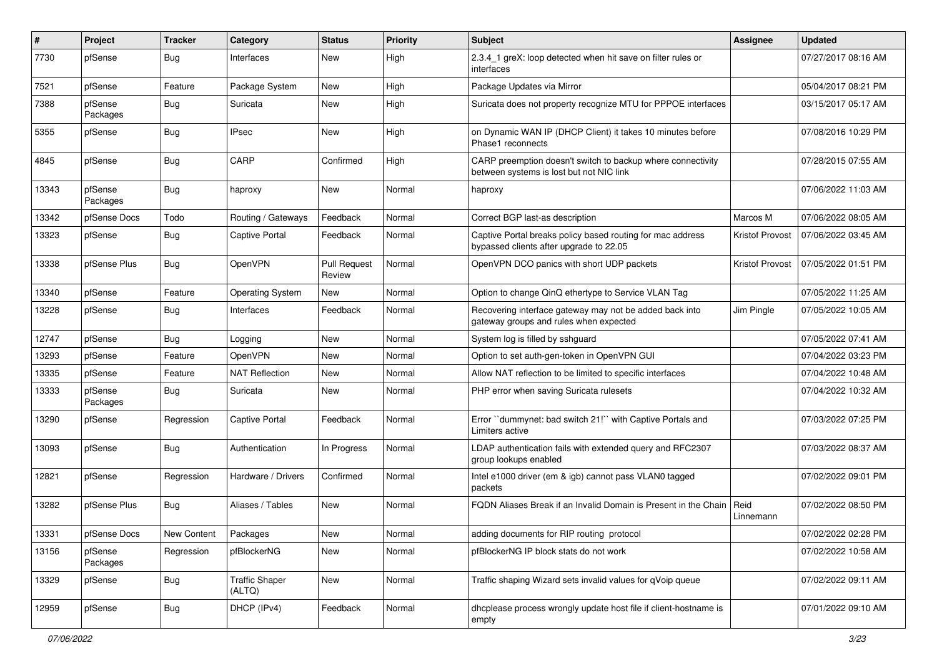| ∦     | <b>Project</b>      | <b>Tracker</b> | Category                        | <b>Status</b>                 | Priority | <b>Subject</b>                                                                                          | <b>Assignee</b>        | <b>Updated</b>      |
|-------|---------------------|----------------|---------------------------------|-------------------------------|----------|---------------------------------------------------------------------------------------------------------|------------------------|---------------------|
| 7730  | pfSense             | Bug            | Interfaces                      | <b>New</b>                    | High     | 2.3.4_1 greX: loop detected when hit save on filter rules or<br>interfaces                              |                        | 07/27/2017 08:16 AM |
| 7521  | pfSense             | Feature        | Package System                  | <b>New</b>                    | High     | Package Updates via Mirror                                                                              |                        | 05/04/2017 08:21 PM |
| 7388  | pfSense<br>Packages | <b>Bug</b>     | Suricata                        | New                           | High     | Suricata does not property recognize MTU for PPPOE interfaces                                           |                        | 03/15/2017 05:17 AM |
| 5355  | pfSense             | Bug            | <b>IPsec</b>                    | <b>New</b>                    | High     | on Dynamic WAN IP (DHCP Client) it takes 10 minutes before<br>Phase1 reconnects                         |                        | 07/08/2016 10:29 PM |
| 4845  | pfSense             | Bug            | CARP                            | Confirmed                     | High     | CARP preemption doesn't switch to backup where connectivity<br>between systems is lost but not NIC link |                        | 07/28/2015 07:55 AM |
| 13343 | pfSense<br>Packages | Bug            | haproxy                         | <b>New</b>                    | Normal   | haproxy                                                                                                 |                        | 07/06/2022 11:03 AM |
| 13342 | pfSense Docs        | Todo           | Routing / Gateways              | Feedback                      | Normal   | Correct BGP last-as description                                                                         | Marcos M               | 07/06/2022 08:05 AM |
| 13323 | pfSense             | <b>Bug</b>     | Captive Portal                  | Feedback                      | Normal   | Captive Portal breaks policy based routing for mac address<br>bypassed clients after upgrade to 22.05   | Kristof Provost        | 07/06/2022 03:45 AM |
| 13338 | pfSense Plus        | Bug            | OpenVPN                         | <b>Pull Request</b><br>Review | Normal   | OpenVPN DCO panics with short UDP packets                                                               | <b>Kristof Provost</b> | 07/05/2022 01:51 PM |
| 13340 | pfSense             | Feature        | <b>Operating System</b>         | <b>New</b>                    | Normal   | Option to change QinQ ethertype to Service VLAN Tag                                                     |                        | 07/05/2022 11:25 AM |
| 13228 | pfSense             | Bug            | Interfaces                      | Feedback                      | Normal   | Recovering interface gateway may not be added back into<br>gateway groups and rules when expected       | Jim Pingle             | 07/05/2022 10:05 AM |
| 12747 | pfSense             | Bug            | Logging                         | <b>New</b>                    | Normal   | System log is filled by sshguard                                                                        |                        | 07/05/2022 07:41 AM |
| 13293 | pfSense             | Feature        | OpenVPN                         | <b>New</b>                    | Normal   | Option to set auth-gen-token in OpenVPN GUI                                                             |                        | 07/04/2022 03:23 PM |
| 13335 | pfSense             | Feature        | <b>NAT Reflection</b>           | New                           | Normal   | Allow NAT reflection to be limited to specific interfaces                                               |                        | 07/04/2022 10:48 AM |
| 13333 | pfSense<br>Packages | Bug            | Suricata                        | New                           | Normal   | PHP error when saving Suricata rulesets                                                                 |                        | 07/04/2022 10:32 AM |
| 13290 | pfSense             | Regression     | Captive Portal                  | Feedback                      | Normal   | Error "dummynet: bad switch 21!" with Captive Portals and<br>Limiters active                            |                        | 07/03/2022 07:25 PM |
| 13093 | pfSense             | Bug            | Authentication                  | In Progress                   | Normal   | LDAP authentication fails with extended query and RFC2307<br>group lookups enabled                      |                        | 07/03/2022 08:37 AM |
| 12821 | pfSense             | Regression     | Hardware / Drivers              | Confirmed                     | Normal   | Intel e1000 driver (em & igb) cannot pass VLAN0 tagged<br>packets                                       |                        | 07/02/2022 09:01 PM |
| 13282 | pfSense Plus        | Bug            | Aliases / Tables                | <b>New</b>                    | Normal   | FQDN Aliases Break if an Invalid Domain is Present in the Chain                                         | Reid<br>Linnemann      | 07/02/2022 08:50 PM |
| 13331 | pfSense Docs        | New Content    | Packages                        | New                           | Normal   | adding documents for RIP routing protocol                                                               |                        | 07/02/2022 02:28 PM |
| 13156 | pfSense<br>Packages | Regression     | pfBlockerNG                     | New                           | Normal   | pfBlockerNG IP block stats do not work                                                                  |                        | 07/02/2022 10:58 AM |
| 13329 | pfSense             | <b>Bug</b>     | <b>Traffic Shaper</b><br>(ALTQ) | New                           | Normal   | Traffic shaping Wizard sets invalid values for qVoip queue                                              |                        | 07/02/2022 09:11 AM |
| 12959 | pfSense             | <b>Bug</b>     | DHCP (IPv4)                     | Feedback                      | Normal   | dhcplease process wrongly update host file if client-hostname is<br>empty                               |                        | 07/01/2022 09:10 AM |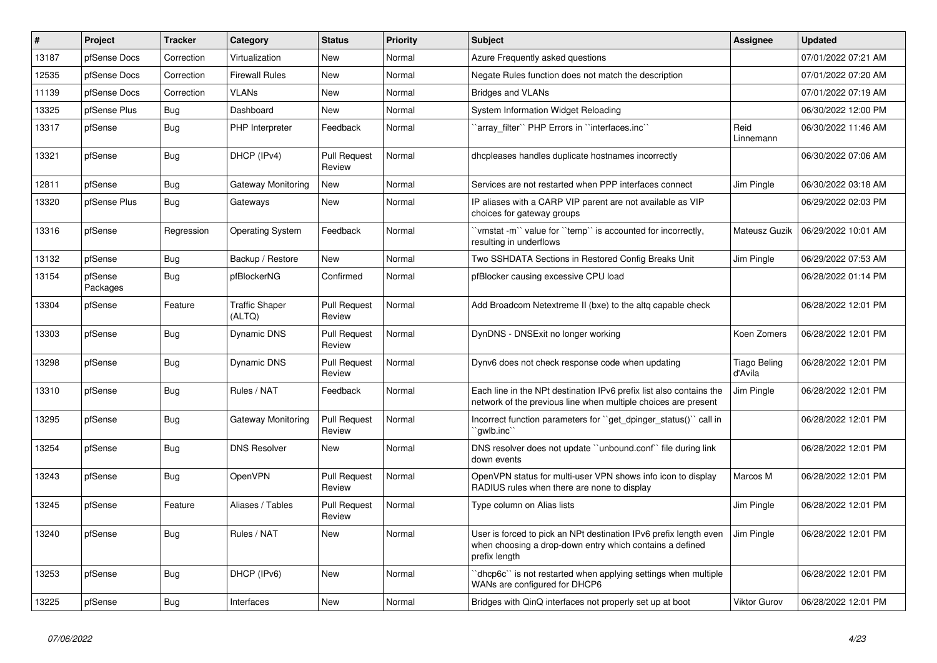| $\vert$ # | Project             | <b>Tracker</b> | Category                        | <b>Status</b>                 | <b>Priority</b> | <b>Subject</b>                                                                                                                                 | Assignee                       | <b>Updated</b>      |
|-----------|---------------------|----------------|---------------------------------|-------------------------------|-----------------|------------------------------------------------------------------------------------------------------------------------------------------------|--------------------------------|---------------------|
| 13187     | pfSense Docs        | Correction     | Virtualization                  | <b>New</b>                    | Normal          | Azure Frequently asked questions                                                                                                               |                                | 07/01/2022 07:21 AM |
| 12535     | pfSense Docs        | Correction     | <b>Firewall Rules</b>           | <b>New</b>                    | Normal          | Negate Rules function does not match the description                                                                                           |                                | 07/01/2022 07:20 AM |
| 11139     | pfSense Docs        | Correction     | <b>VLANs</b>                    | <b>New</b>                    | Normal          | <b>Bridges and VLANs</b>                                                                                                                       |                                | 07/01/2022 07:19 AM |
| 13325     | pfSense Plus        | <b>Bug</b>     | Dashboard                       | <b>New</b>                    | Normal          | System Information Widget Reloading                                                                                                            |                                | 06/30/2022 12:00 PM |
| 13317     | pfSense             | <b>Bug</b>     | PHP Interpreter                 | Feedback                      | Normal          | 'array_filter'' PHP Errors in ''interfaces.inc''                                                                                               | Reid<br>Linnemann              | 06/30/2022 11:46 AM |
| 13321     | pfSense             | Bug            | DHCP (IPv4)                     | <b>Pull Request</b><br>Review | Normal          | dhcpleases handles duplicate hostnames incorrectly                                                                                             |                                | 06/30/2022 07:06 AM |
| 12811     | pfSense             | <b>Bug</b>     | Gateway Monitoring              | New                           | Normal          | Services are not restarted when PPP interfaces connect                                                                                         | Jim Pingle                     | 06/30/2022 03:18 AM |
| 13320     | pfSense Plus        | <b>Bug</b>     | Gateways                        | New                           | Normal          | IP aliases with a CARP VIP parent are not available as VIP<br>choices for gateway groups                                                       |                                | 06/29/2022 02:03 PM |
| 13316     | pfSense             | Regression     | <b>Operating System</b>         | Feedback                      | Normal          | 'vmstat -m'` value for ''temp'' is accounted for incorrectly,<br>resulting in underflows                                                       | Mateusz Guzik                  | 06/29/2022 10:01 AM |
| 13132     | pfSense             | <b>Bug</b>     | Backup / Restore                | <b>New</b>                    | Normal          | Two SSHDATA Sections in Restored Config Breaks Unit                                                                                            | Jim Pingle                     | 06/29/2022 07:53 AM |
| 13154     | pfSense<br>Packages | <b>Bug</b>     | pfBlockerNG                     | Confirmed                     | Normal          | pfBlocker causing excessive CPU load                                                                                                           |                                | 06/28/2022 01:14 PM |
| 13304     | pfSense             | Feature        | <b>Traffic Shaper</b><br>(ALTQ) | <b>Pull Request</b><br>Review | Normal          | Add Broadcom Netextreme II (bxe) to the altg capable check                                                                                     |                                | 06/28/2022 12:01 PM |
| 13303     | pfSense             | <b>Bug</b>     | Dynamic DNS                     | <b>Pull Request</b><br>Review | Normal          | DynDNS - DNSExit no longer working                                                                                                             | Koen Zomers                    | 06/28/2022 12:01 PM |
| 13298     | pfSense             | <b>Bug</b>     | Dynamic DNS                     | <b>Pull Request</b><br>Review | Normal          | Dynv6 does not check response code when updating                                                                                               | <b>Tiago Beling</b><br>d'Avila | 06/28/2022 12:01 PM |
| 13310     | pfSense             | Bug            | Rules / NAT                     | Feedback                      | Normal          | Each line in the NPt destination IPv6 prefix list also contains the<br>network of the previous line when multiple choices are present          | Jim Pingle                     | 06/28/2022 12:01 PM |
| 13295     | pfSense             | Bug            | Gateway Monitoring              | <b>Pull Request</b><br>Review | Normal          | Incorrect function parameters for "get dpinger status()" call in<br>`gwlb.inc                                                                  |                                | 06/28/2022 12:01 PM |
| 13254     | pfSense             | Bug            | <b>DNS Resolver</b>             | New                           | Normal          | DNS resolver does not update "unbound.conf" file during link<br>down events                                                                    |                                | 06/28/2022 12:01 PM |
| 13243     | pfSense             | <b>Bug</b>     | OpenVPN                         | <b>Pull Request</b><br>Review | Normal          | OpenVPN status for multi-user VPN shows info icon to display<br>RADIUS rules when there are none to display                                    | Marcos M                       | 06/28/2022 12:01 PM |
| 13245     | pfSense             | Feature        | Aliases / Tables                | <b>Pull Request</b><br>Review | Normal          | Type column on Alias lists                                                                                                                     | Jim Pingle                     | 06/28/2022 12:01 PM |
| 13240     | pfSense             | <b>Bug</b>     | Rules / NAT                     | <b>New</b>                    | Normal          | User is forced to pick an NPt destination IPv6 prefix length even<br>when choosing a drop-down entry which contains a defined<br>prefix length | Jim Pingle                     | 06/28/2022 12:01 PM |
| 13253     | pfSense             | <b>Bug</b>     | DHCP (IPv6)                     | <b>New</b>                    | Normal          | dhcp6c" is not restarted when applying settings when multiple<br>WANs are configured for DHCP6                                                 |                                | 06/28/2022 12:01 PM |
| 13225     | pfSense             | Bug            | Interfaces                      | <b>New</b>                    | Normal          | Bridges with QinQ interfaces not properly set up at boot                                                                                       | <b>Viktor Gurov</b>            | 06/28/2022 12:01 PM |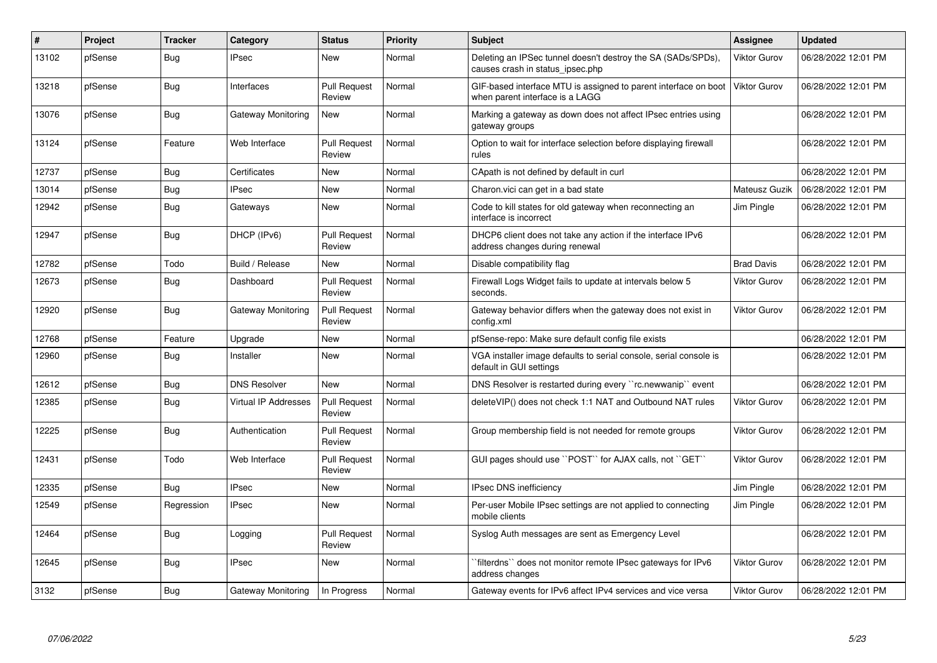| #     | Project | <b>Tracker</b> | Category                    | <b>Status</b>                 | <b>Priority</b> | <b>Subject</b>                                                                                     | <b>Assignee</b>     | <b>Updated</b>      |
|-------|---------|----------------|-----------------------------|-------------------------------|-----------------|----------------------------------------------------------------------------------------------------|---------------------|---------------------|
| 13102 | pfSense | Bug            | <b>IPsec</b>                | <b>New</b>                    | Normal          | Deleting an IPSec tunnel doesn't destroy the SA (SADs/SPDs),<br>causes crash in status ipsec.php   | <b>Viktor Gurov</b> | 06/28/2022 12:01 PM |
| 13218 | pfSense | Bug            | Interfaces                  | <b>Pull Request</b><br>Review | Normal          | GIF-based interface MTU is assigned to parent interface on boot<br>when parent interface is a LAGG | <b>Viktor Gurov</b> | 06/28/2022 12:01 PM |
| 13076 | pfSense | Bug            | Gateway Monitoring          | <b>New</b>                    | Normal          | Marking a gateway as down does not affect IPsec entries using<br>gateway groups                    |                     | 06/28/2022 12:01 PM |
| 13124 | pfSense | Feature        | Web Interface               | <b>Pull Request</b><br>Review | Normal          | Option to wait for interface selection before displaying firewall<br>rules                         |                     | 06/28/2022 12:01 PM |
| 12737 | pfSense | <b>Bug</b>     | Certificates                | <b>New</b>                    | Normal          | CApath is not defined by default in curl                                                           |                     | 06/28/2022 12:01 PM |
| 13014 | pfSense | <b>Bug</b>     | <b>IPsec</b>                | <b>New</b>                    | Normal          | Charon. vici can get in a bad state                                                                | Mateusz Guzik       | 06/28/2022 12:01 PM |
| 12942 | pfSense | Bug            | Gateways                    | New                           | Normal          | Code to kill states for old gateway when reconnecting an<br>interface is incorrect                 | Jim Pingle          | 06/28/2022 12:01 PM |
| 12947 | pfSense | Bug            | DHCP (IPv6)                 | <b>Pull Request</b><br>Review | Normal          | DHCP6 client does not take any action if the interface IPv6<br>address changes during renewal      |                     | 06/28/2022 12:01 PM |
| 12782 | pfSense | Todo           | Build / Release             | <b>New</b>                    | Normal          | Disable compatibility flag                                                                         | <b>Brad Davis</b>   | 06/28/2022 12:01 PM |
| 12673 | pfSense | <b>Bug</b>     | Dashboard                   | <b>Pull Request</b><br>Review | Normal          | Firewall Logs Widget fails to update at intervals below 5<br>seconds.                              | <b>Viktor Gurov</b> | 06/28/2022 12:01 PM |
| 12920 | pfSense | Bug            | Gateway Monitoring          | <b>Pull Request</b><br>Review | Normal          | Gateway behavior differs when the gateway does not exist in<br>config.xml                          | <b>Viktor Gurov</b> | 06/28/2022 12:01 PM |
| 12768 | pfSense | Feature        | Upgrade                     | <b>New</b>                    | Normal          | pfSense-repo: Make sure default config file exists                                                 |                     | 06/28/2022 12:01 PM |
| 12960 | pfSense | Bug            | Installer                   | New                           | Normal          | VGA installer image defaults to serial console, serial console is<br>default in GUI settings       |                     | 06/28/2022 12:01 PM |
| 12612 | pfSense | Bug            | <b>DNS Resolver</b>         | <b>New</b>                    | Normal          | DNS Resolver is restarted during every "rc.newwanip" event                                         |                     | 06/28/2022 12:01 PM |
| 12385 | pfSense | Bug            | <b>Virtual IP Addresses</b> | Pull Request<br>Review        | Normal          | deleteVIP() does not check 1:1 NAT and Outbound NAT rules                                          | <b>Viktor Gurov</b> | 06/28/2022 12:01 PM |
| 12225 | pfSense | <b>Bug</b>     | Authentication              | <b>Pull Request</b><br>Review | Normal          | Group membership field is not needed for remote groups                                             | Viktor Gurov        | 06/28/2022 12:01 PM |
| 12431 | pfSense | Todo           | Web Interface               | <b>Pull Request</b><br>Review | Normal          | GUI pages should use "POST" for AJAX calls, not "GET"                                              | <b>Viktor Gurov</b> | 06/28/2022 12:01 PM |
| 12335 | pfSense | Bug            | <b>IPsec</b>                | <b>New</b>                    | Normal          | IPsec DNS inefficiency                                                                             | Jim Pingle          | 06/28/2022 12:01 PM |
| 12549 | pfSense | Regression     | <b>IPsec</b>                | <b>New</b>                    | Normal          | Per-user Mobile IPsec settings are not applied to connecting<br>mobile clients                     | Jim Pingle          | 06/28/2022 12:01 PM |
| 12464 | pfSense | Bug            | Logging                     | <b>Pull Request</b><br>Review | Normal          | Syslog Auth messages are sent as Emergency Level                                                   |                     | 06/28/2022 12:01 PM |
| 12645 | pfSense | <b>Bug</b>     | <b>IPsec</b>                | <b>New</b>                    | Normal          | `filterdns`` does not monitor remote IPsec gateways for IPv6<br>address changes                    | <b>Viktor Gurov</b> | 06/28/2022 12:01 PM |
| 3132  | pfSense | Bug            | Gateway Monitoring          | In Progress                   | Normal          | Gateway events for IPv6 affect IPv4 services and vice versa                                        | Viktor Gurov        | 06/28/2022 12:01 PM |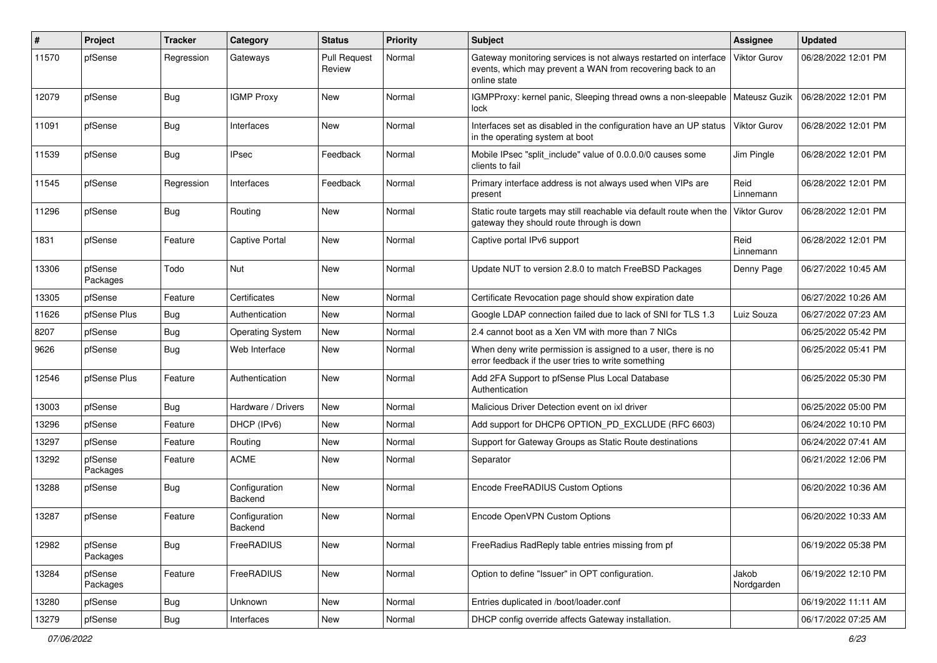| #     | Project             | <b>Tracker</b> | Category                 | <b>Status</b>                 | Priority | Subject                                                                                                                                        | <b>Assignee</b>     | <b>Updated</b>      |
|-------|---------------------|----------------|--------------------------|-------------------------------|----------|------------------------------------------------------------------------------------------------------------------------------------------------|---------------------|---------------------|
| 11570 | pfSense             | Regression     | Gateways                 | <b>Pull Request</b><br>Review | Normal   | Gateway monitoring services is not always restarted on interface<br>events, which may prevent a WAN from recovering back to an<br>online state | <b>Viktor Gurov</b> | 06/28/2022 12:01 PM |
| 12079 | pfSense             | <b>Bug</b>     | <b>IGMP Proxy</b>        | <b>New</b>                    | Normal   | IGMPProxy: kernel panic, Sleeping thread owns a non-sleepable   Mateusz Guzik<br>lock                                                          |                     | 06/28/2022 12:01 PM |
| 11091 | pfSense             | Bug            | Interfaces               | New                           | Normal   | Interfaces set as disabled in the configuration have an UP status<br>in the operating system at boot                                           | Viktor Gurov        | 06/28/2022 12:01 PM |
| 11539 | pfSense             | Bug            | <b>IPsec</b>             | Feedback                      | Normal   | Mobile IPsec "split_include" value of 0.0.0.0/0 causes some<br>clients to fail                                                                 | Jim Pingle          | 06/28/2022 12:01 PM |
| 11545 | pfSense             | Regression     | Interfaces               | Feedback                      | Normal   | Primary interface address is not always used when VIPs are<br>present                                                                          | Reid<br>Linnemann   | 06/28/2022 12:01 PM |
| 11296 | pfSense             | Bug            | Routing                  | <b>New</b>                    | Normal   | Static route targets may still reachable via default route when the<br>gateway they should route through is down                               | <b>Viktor Gurov</b> | 06/28/2022 12:01 PM |
| 1831  | pfSense             | Feature        | Captive Portal           | New                           | Normal   | Captive portal IPv6 support                                                                                                                    | Reid<br>Linnemann   | 06/28/2022 12:01 PM |
| 13306 | pfSense<br>Packages | Todo           | Nut                      | <b>New</b>                    | Normal   | Update NUT to version 2.8.0 to match FreeBSD Packages                                                                                          | Denny Page          | 06/27/2022 10:45 AM |
| 13305 | pfSense             | Feature        | Certificates             | <b>New</b>                    | Normal   | Certificate Revocation page should show expiration date                                                                                        |                     | 06/27/2022 10:26 AM |
| 11626 | pfSense Plus        | <b>Bug</b>     | Authentication           | <b>New</b>                    | Normal   | Google LDAP connection failed due to lack of SNI for TLS 1.3                                                                                   | Luiz Souza          | 06/27/2022 07:23 AM |
| 8207  | pfSense             | <b>Bug</b>     | <b>Operating System</b>  | New                           | Normal   | 2.4 cannot boot as a Xen VM with more than 7 NICs                                                                                              |                     | 06/25/2022 05:42 PM |
| 9626  | pfSense             | <b>Bug</b>     | Web Interface            | <b>New</b>                    | Normal   | When deny write permission is assigned to a user, there is no<br>error feedback if the user tries to write something                           |                     | 06/25/2022 05:41 PM |
| 12546 | pfSense Plus        | Feature        | Authentication           | New                           | Normal   | Add 2FA Support to pfSense Plus Local Database<br>Authentication                                                                               |                     | 06/25/2022 05:30 PM |
| 13003 | pfSense             | Bug            | Hardware / Drivers       | New                           | Normal   | Malicious Driver Detection event on ixl driver                                                                                                 |                     | 06/25/2022 05:00 PM |
| 13296 | pfSense             | Feature        | DHCP (IPv6)              | New                           | Normal   | Add support for DHCP6 OPTION PD EXCLUDE (RFC 6603)                                                                                             |                     | 06/24/2022 10:10 PM |
| 13297 | pfSense             | Feature        | Routing                  | <b>New</b>                    | Normal   | Support for Gateway Groups as Static Route destinations                                                                                        |                     | 06/24/2022 07:41 AM |
| 13292 | pfSense<br>Packages | Feature        | <b>ACME</b>              | New                           | Normal   | Separator                                                                                                                                      |                     | 06/21/2022 12:06 PM |
| 13288 | pfSense             | Bug            | Configuration<br>Backend | New                           | Normal   | Encode FreeRADIUS Custom Options                                                                                                               |                     | 06/20/2022 10:36 AM |
| 13287 | pfSense             | Feature        | Configuration<br>Backend | <b>New</b>                    | Normal   | Encode OpenVPN Custom Options                                                                                                                  |                     | 06/20/2022 10:33 AM |
| 12982 | pfSense<br>Packages | Bug            | FreeRADIUS               | New                           | Normal   | FreeRadius RadReply table entries missing from pf                                                                                              |                     | 06/19/2022 05:38 PM |
| 13284 | pfSense<br>Packages | Feature        | FreeRADIUS               | New                           | Normal   | Option to define "Issuer" in OPT configuration.                                                                                                | Jakob<br>Nordgarden | 06/19/2022 12:10 PM |
| 13280 | pfSense             | Bug            | Unknown                  | New                           | Normal   | Entries duplicated in /boot/loader.conf                                                                                                        |                     | 06/19/2022 11:11 AM |
| 13279 | pfSense             | <b>Bug</b>     | Interfaces               | New                           | Normal   | DHCP config override affects Gateway installation.                                                                                             |                     | 06/17/2022 07:25 AM |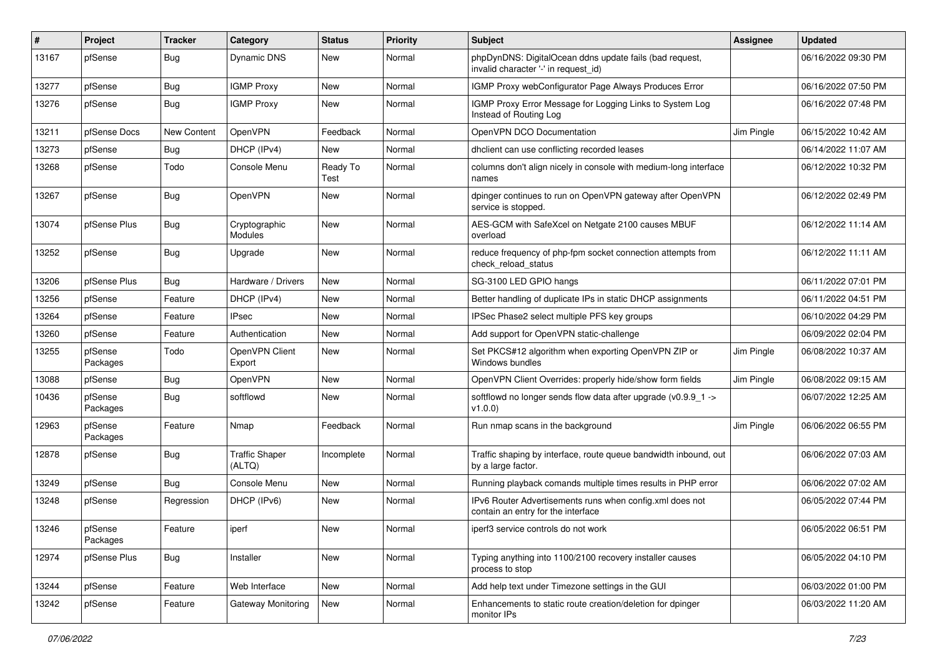| ∦     | Project             | <b>Tracker</b> | Category                        | <b>Status</b>    | <b>Priority</b> | <b>Subject</b>                                                                                  | Assignee   | <b>Updated</b>      |
|-------|---------------------|----------------|---------------------------------|------------------|-----------------|-------------------------------------------------------------------------------------------------|------------|---------------------|
| 13167 | pfSense             | <b>Bug</b>     | <b>Dynamic DNS</b>              | New              | Normal          | phpDynDNS: DigitalOcean ddns update fails (bad request,<br>invalid character '-' in request_id) |            | 06/16/2022 09:30 PM |
| 13277 | pfSense             | Bug            | <b>IGMP Proxy</b>               | New              | Normal          | IGMP Proxy webConfigurator Page Always Produces Error                                           |            | 06/16/2022 07:50 PM |
| 13276 | pfSense             | <b>Bug</b>     | <b>IGMP Proxy</b>               | New              | Normal          | IGMP Proxy Error Message for Logging Links to System Log<br>Instead of Routing Log              |            | 06/16/2022 07:48 PM |
| 13211 | pfSense Docs        | New Content    | OpenVPN                         | Feedback         | Normal          | OpenVPN DCO Documentation                                                                       | Jim Pingle | 06/15/2022 10:42 AM |
| 13273 | pfSense             | <b>Bug</b>     | DHCP (IPv4)                     | New              | Normal          | dhclient can use conflicting recorded leases                                                    |            | 06/14/2022 11:07 AM |
| 13268 | pfSense             | Todo           | Console Menu                    | Ready To<br>Test | Normal          | columns don't align nicely in console with medium-long interface<br>names                       |            | 06/12/2022 10:32 PM |
| 13267 | pfSense             | <b>Bug</b>     | OpenVPN                         | New              | Normal          | dpinger continues to run on OpenVPN gateway after OpenVPN<br>service is stopped.                |            | 06/12/2022 02:49 PM |
| 13074 | pfSense Plus        | <b>Bug</b>     | Cryptographic<br>Modules        | New              | Normal          | AES-GCM with SafeXcel on Netgate 2100 causes MBUF<br>overload                                   |            | 06/12/2022 11:14 AM |
| 13252 | pfSense             | <b>Bug</b>     | Upgrade                         | New              | Normal          | reduce frequency of php-fpm socket connection attempts from<br>check_reload_status              |            | 06/12/2022 11:11 AM |
| 13206 | pfSense Plus        | Bug            | Hardware / Drivers              | New              | Normal          | SG-3100 LED GPIO hangs                                                                          |            | 06/11/2022 07:01 PM |
| 13256 | pfSense             | Feature        | DHCP (IPv4)                     | New              | Normal          | Better handling of duplicate IPs in static DHCP assignments                                     |            | 06/11/2022 04:51 PM |
| 13264 | pfSense             | Feature        | IPsec                           | New              | Normal          | IPSec Phase2 select multiple PFS key groups                                                     |            | 06/10/2022 04:29 PM |
| 13260 | pfSense             | Feature        | Authentication                  | <b>New</b>       | Normal          | Add support for OpenVPN static-challenge                                                        |            | 06/09/2022 02:04 PM |
| 13255 | pfSense<br>Packages | Todo           | OpenVPN Client<br>Export        | New              | Normal          | Set PKCS#12 algorithm when exporting OpenVPN ZIP or<br>Windows bundles                          | Jim Pingle | 06/08/2022 10:37 AM |
| 13088 | pfSense             | <b>Bug</b>     | OpenVPN                         | New              | Normal          | OpenVPN Client Overrides: properly hide/show form fields                                        | Jim Pingle | 06/08/2022 09:15 AM |
| 10436 | pfSense<br>Packages | <b>Bug</b>     | softflowd                       | New              | Normal          | softflowd no longer sends flow data after upgrade ( $v0.9.9$ 1 -><br>v1.0.0                     |            | 06/07/2022 12:25 AM |
| 12963 | pfSense<br>Packages | Feature        | Nmap                            | Feedback         | Normal          | Run nmap scans in the background                                                                | Jim Pingle | 06/06/2022 06:55 PM |
| 12878 | pfSense             | <b>Bug</b>     | <b>Traffic Shaper</b><br>(ALTQ) | Incomplete       | Normal          | Traffic shaping by interface, route queue bandwidth inbound, out<br>by a large factor.          |            | 06/06/2022 07:03 AM |
| 13249 | pfSense             | <b>Bug</b>     | Console Menu                    | New              | Normal          | Running playback comands multiple times results in PHP error                                    |            | 06/06/2022 07:02 AM |
| 13248 | pfSense             | Regression     | DHCP (IPv6)                     | New              | Normal          | IPv6 Router Advertisements runs when config.xml does not<br>contain an entry for the interface  |            | 06/05/2022 07:44 PM |
| 13246 | pfSense<br>Packages | Feature        | iperf                           | New              | Normal          | iperf3 service controls do not work                                                             |            | 06/05/2022 06:51 PM |
| 12974 | pfSense Plus        | <b>Bug</b>     | Installer                       | New              | Normal          | Typing anything into 1100/2100 recovery installer causes<br>process to stop                     |            | 06/05/2022 04:10 PM |
| 13244 | pfSense             | Feature        | Web Interface                   | New              | Normal          | Add help text under Timezone settings in the GUI                                                |            | 06/03/2022 01:00 PM |
| 13242 | pfSense             | Feature        | Gateway Monitoring              | New              | Normal          | Enhancements to static route creation/deletion for dpinger<br>monitor IPs                       |            | 06/03/2022 11:20 AM |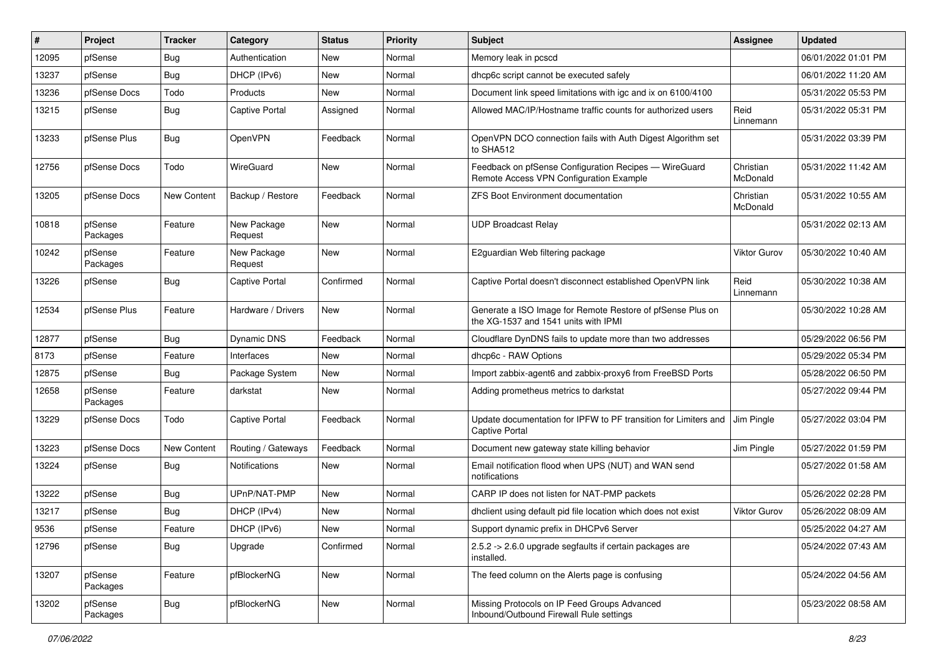| #     | Project             | <b>Tracker</b>     | Category               | <b>Status</b> | <b>Priority</b> | <b>Subject</b>                                                                                     | Assignee              | <b>Updated</b>      |
|-------|---------------------|--------------------|------------------------|---------------|-----------------|----------------------------------------------------------------------------------------------------|-----------------------|---------------------|
| 12095 | pfSense             | <b>Bug</b>         | Authentication         | New           | Normal          | Memory leak in pcscd                                                                               |                       | 06/01/2022 01:01 PM |
| 13237 | pfSense             | <b>Bug</b>         | DHCP (IPv6)            | <b>New</b>    | Normal          | dhcp6c script cannot be executed safely                                                            |                       | 06/01/2022 11:20 AM |
| 13236 | pfSense Docs        | Todo               | Products               | New           | Normal          | Document link speed limitations with igc and ix on 6100/4100                                       |                       | 05/31/2022 05:53 PM |
| 13215 | pfSense             | <b>Bug</b>         | <b>Captive Portal</b>  | Assigned      | Normal          | Allowed MAC/IP/Hostname traffic counts for authorized users                                        | Reid<br>Linnemann     | 05/31/2022 05:31 PM |
| 13233 | pfSense Plus        | <b>Bug</b>         | OpenVPN                | Feedback      | Normal          | OpenVPN DCO connection fails with Auth Digest Algorithm set<br>to SHA512                           |                       | 05/31/2022 03:39 PM |
| 12756 | pfSense Docs        | Todo               | WireGuard              | <b>New</b>    | Normal          | Feedback on pfSense Configuration Recipes - WireGuard<br>Remote Access VPN Configuration Example   | Christian<br>McDonald | 05/31/2022 11:42 AM |
| 13205 | pfSense Docs        | <b>New Content</b> | Backup / Restore       | Feedback      | Normal          | <b>ZFS Boot Environment documentation</b>                                                          | Christian<br>McDonald | 05/31/2022 10:55 AM |
| 10818 | pfSense<br>Packages | Feature            | New Package<br>Request | New           | Normal          | <b>UDP Broadcast Relay</b>                                                                         |                       | 05/31/2022 02:13 AM |
| 10242 | pfSense<br>Packages | Feature            | New Package<br>Request | New           | Normal          | E2guardian Web filtering package                                                                   | Viktor Gurov          | 05/30/2022 10:40 AM |
| 13226 | pfSense             | <b>Bug</b>         | <b>Captive Portal</b>  | Confirmed     | Normal          | Captive Portal doesn't disconnect established OpenVPN link                                         | Reid<br>Linnemann     | 05/30/2022 10:38 AM |
| 12534 | pfSense Plus        | Feature            | Hardware / Drivers     | New           | Normal          | Generate a ISO Image for Remote Restore of pfSense Plus on<br>the XG-1537 and 1541 units with IPMI |                       | 05/30/2022 10:28 AM |
| 12877 | pfSense             | <b>Bug</b>         | Dynamic DNS            | Feedback      | Normal          | Cloudflare DynDNS fails to update more than two addresses                                          |                       | 05/29/2022 06:56 PM |
| 8173  | pfSense             | Feature            | Interfaces             | <b>New</b>    | Normal          | dhcp6c - RAW Options                                                                               |                       | 05/29/2022 05:34 PM |
| 12875 | pfSense             | <b>Bug</b>         | Package System         | New           | Normal          | Import zabbix-agent6 and zabbix-proxy6 from FreeBSD Ports                                          |                       | 05/28/2022 06:50 PM |
| 12658 | pfSense<br>Packages | Feature            | darkstat               | New           | Normal          | Adding prometheus metrics to darkstat                                                              |                       | 05/27/2022 09:44 PM |
| 13229 | pfSense Docs        | Todo               | <b>Captive Portal</b>  | Feedback      | Normal          | Update documentation for IPFW to PF transition for Limiters and<br><b>Captive Portal</b>           | Jim Pingle            | 05/27/2022 03:04 PM |
| 13223 | pfSense Docs        | New Content        | Routing / Gateways     | Feedback      | Normal          | Document new gateway state killing behavior                                                        | Jim Pingle            | 05/27/2022 01:59 PM |
| 13224 | pfSense             | Bug                | Notifications          | New           | Normal          | Email notification flood when UPS (NUT) and WAN send<br>notifications                              |                       | 05/27/2022 01:58 AM |
| 13222 | pfSense             | Bug                | UPnP/NAT-PMP           | <b>New</b>    | Normal          | CARP IP does not listen for NAT-PMP packets                                                        |                       | 05/26/2022 02:28 PM |
| 13217 | pfSense             | <b>Bug</b>         | DHCP (IPv4)            | New           | Normal          | dholient using default pid file location which does not exist                                      | Viktor Gurov          | 05/26/2022 08:09 AM |
| 9536  | pfSense             | Feature            | DHCP (IPv6)            | New           | Normal          | Support dynamic prefix in DHCPv6 Server                                                            |                       | 05/25/2022 04:27 AM |
| 12796 | pfSense             | <b>Bug</b>         | Upgrade                | Confirmed     | Normal          | 2.5.2 -> 2.6.0 upgrade segfaults if certain packages are<br>installed.                             |                       | 05/24/2022 07:43 AM |
| 13207 | pfSense<br>Packages | Feature            | pfBlockerNG            | New           | Normal          | The feed column on the Alerts page is confusing                                                    |                       | 05/24/2022 04:56 AM |
| 13202 | pfSense<br>Packages | <b>Bug</b>         | pfBlockerNG            | New           | Normal          | Missing Protocols on IP Feed Groups Advanced<br>Inbound/Outbound Firewall Rule settings            |                       | 05/23/2022 08:58 AM |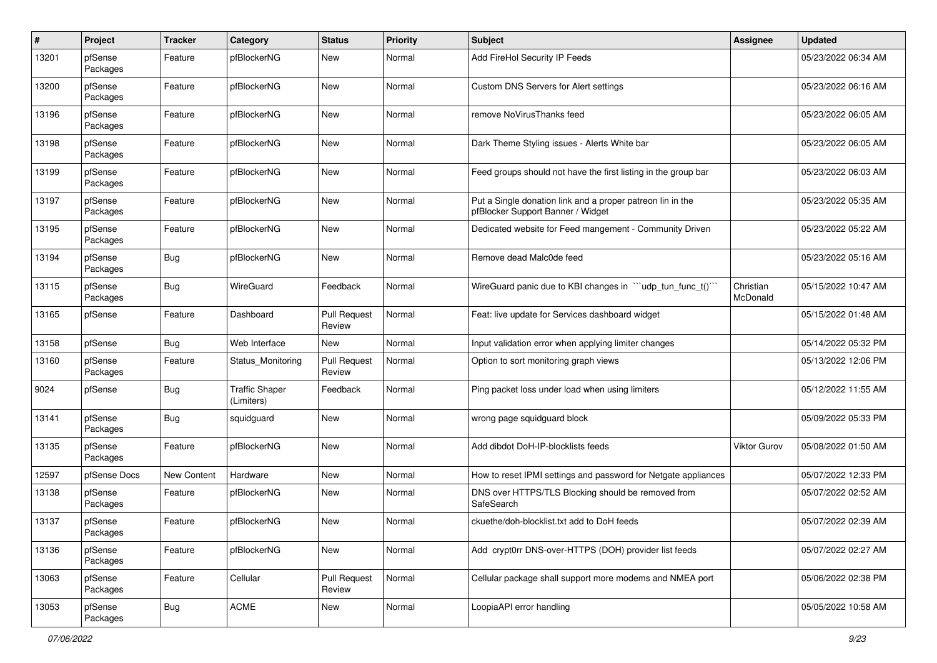| #     | Project             | <b>Tracker</b>     | Category                            | <b>Status</b>                 | <b>Priority</b> | Subject                                                                                         | Assignee              | <b>Updated</b>      |
|-------|---------------------|--------------------|-------------------------------------|-------------------------------|-----------------|-------------------------------------------------------------------------------------------------|-----------------------|---------------------|
| 13201 | pfSense<br>Packages | Feature            | pfBlockerNG                         | New                           | Normal          | Add FireHol Security IP Feeds                                                                   |                       | 05/23/2022 06:34 AM |
| 13200 | pfSense<br>Packages | Feature            | pfBlockerNG                         | New                           | Normal          | Custom DNS Servers for Alert settings                                                           |                       | 05/23/2022 06:16 AM |
| 13196 | pfSense<br>Packages | Feature            | pfBlockerNG                         | New                           | Normal          | remove NoVirusThanks feed                                                                       |                       | 05/23/2022 06:05 AM |
| 13198 | pfSense<br>Packages | Feature            | pfBlockerNG                         | New                           | Normal          | Dark Theme Styling issues - Alerts White bar                                                    |                       | 05/23/2022 06:05 AM |
| 13199 | pfSense<br>Packages | Feature            | pfBlockerNG                         | New                           | Normal          | Feed groups should not have the first listing in the group bar                                  |                       | 05/23/2022 06:03 AM |
| 13197 | pfSense<br>Packages | Feature            | pfBlockerNG                         | New                           | Normal          | Put a Single donation link and a proper patreon lin in the<br>pfBlocker Support Banner / Widget |                       | 05/23/2022 05:35 AM |
| 13195 | pfSense<br>Packages | Feature            | pfBlockerNG                         | New                           | Normal          | Dedicated website for Feed mangement - Community Driven                                         |                       | 05/23/2022 05:22 AM |
| 13194 | pfSense<br>Packages | <b>Bug</b>         | pfBlockerNG                         | New                           | Normal          | Remove dead Malc0de feed                                                                        |                       | 05/23/2022 05:16 AM |
| 13115 | pfSense<br>Packages | Bug                | WireGuard                           | Feedback                      | Normal          | WireGuard panic due to KBI changes in "'udp_tun_func_t()'"                                      | Christian<br>McDonald | 05/15/2022 10:47 AM |
| 13165 | pfSense             | Feature            | Dashboard                           | <b>Pull Request</b><br>Review | Normal          | Feat: live update for Services dashboard widget                                                 |                       | 05/15/2022 01:48 AM |
| 13158 | pfSense             | Bug                | Web Interface                       | New                           | Normal          | Input validation error when applying limiter changes                                            |                       | 05/14/2022 05:32 PM |
| 13160 | pfSense<br>Packages | Feature            | Status Monitoring                   | <b>Pull Request</b><br>Review | Normal          | Option to sort monitoring graph views                                                           |                       | 05/13/2022 12:06 PM |
| 9024  | pfSense             | <b>Bug</b>         | <b>Traffic Shaper</b><br>(Limiters) | Feedback                      | Normal          | Ping packet loss under load when using limiters                                                 |                       | 05/12/2022 11:55 AM |
| 13141 | pfSense<br>Packages | <b>Bug</b>         | squidguard                          | New                           | Normal          | wrong page squidguard block                                                                     |                       | 05/09/2022 05:33 PM |
| 13135 | pfSense<br>Packages | Feature            | pfBlockerNG                         | New                           | Normal          | Add dibdot DoH-IP-blocklists feeds                                                              | Viktor Gurov          | 05/08/2022 01:50 AM |
| 12597 | pfSense Docs        | <b>New Content</b> | Hardware                            | New                           | Normal          | How to reset IPMI settings and password for Netgate appliances                                  |                       | 05/07/2022 12:33 PM |
| 13138 | pfSense<br>Packages | Feature            | pfBlockerNG                         | New                           | Normal          | DNS over HTTPS/TLS Blocking should be removed from<br>SafeSearch                                |                       | 05/07/2022 02:52 AM |
| 13137 | pfSense<br>Packages | Feature            | pfBlockerNG                         | New                           | Normal          | ckuethe/doh-blocklist.txt add to DoH feeds                                                      |                       | 05/07/2022 02:39 AM |
| 13136 | pfSense<br>Packages | Feature            | pfBlockerNG                         | New                           | Normal          | Add crypt0rr DNS-over-HTTPS (DOH) provider list feeds                                           |                       | 05/07/2022 02:27 AM |
| 13063 | pfSense<br>Packages | Feature            | Cellular                            | <b>Pull Request</b><br>Review | Normal          | Cellular package shall support more modems and NMEA port                                        |                       | 05/06/2022 02:38 PM |
| 13053 | pfSense<br>Packages | <b>Bug</b>         | <b>ACME</b>                         | New                           | Normal          | LoopiaAPI error handling                                                                        |                       | 05/05/2022 10:58 AM |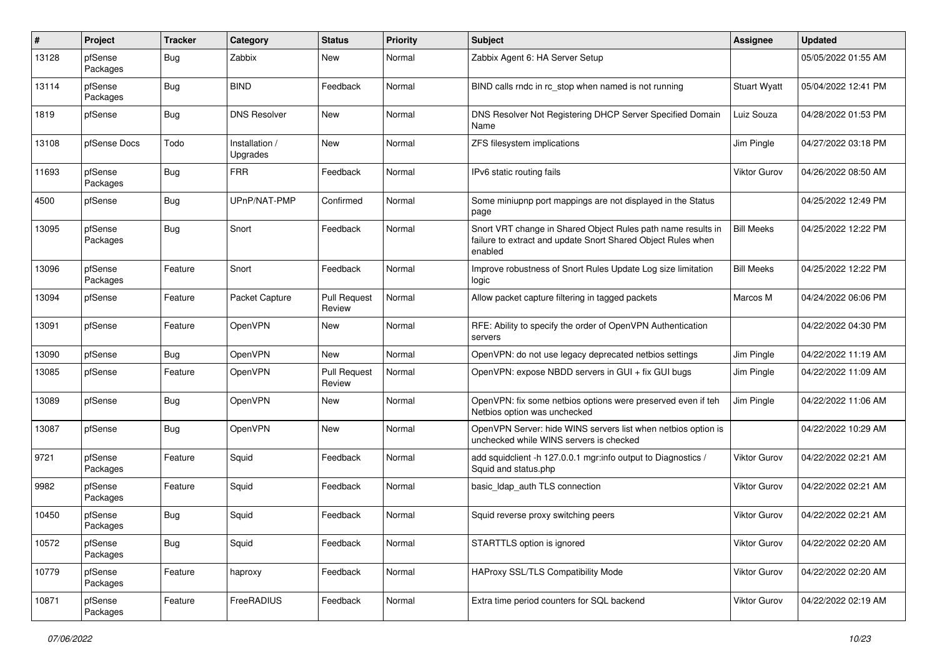| #     | Project             | <b>Tracker</b> | Category                   | <b>Status</b>                 | <b>Priority</b> | Subject                                                                                                                                 | Assignee            | <b>Updated</b>      |
|-------|---------------------|----------------|----------------------------|-------------------------------|-----------------|-----------------------------------------------------------------------------------------------------------------------------------------|---------------------|---------------------|
| 13128 | pfSense<br>Packages | <b>Bug</b>     | Zabbix                     | New                           | Normal          | Zabbix Agent 6: HA Server Setup                                                                                                         |                     | 05/05/2022 01:55 AM |
| 13114 | pfSense<br>Packages | <b>Bug</b>     | <b>BIND</b>                | Feedback                      | Normal          | BIND calls rndc in rc_stop when named is not running                                                                                    | <b>Stuart Wyatt</b> | 05/04/2022 12:41 PM |
| 1819  | pfSense             | Bug            | <b>DNS Resolver</b>        | New                           | Normal          | DNS Resolver Not Registering DHCP Server Specified Domain<br>Name                                                                       | Luiz Souza          | 04/28/2022 01:53 PM |
| 13108 | pfSense Docs        | Todo           | Installation /<br>Upgrades | New                           | Normal          | ZFS filesystem implications                                                                                                             | Jim Pingle          | 04/27/2022 03:18 PM |
| 11693 | pfSense<br>Packages | <b>Bug</b>     | <b>FRR</b>                 | Feedback                      | Normal          | IPv6 static routing fails                                                                                                               | <b>Viktor Gurov</b> | 04/26/2022 08:50 AM |
| 4500  | pfSense             | Bug            | UPnP/NAT-PMP               | Confirmed                     | Normal          | Some miniupnp port mappings are not displayed in the Status<br>page                                                                     |                     | 04/25/2022 12:49 PM |
| 13095 | pfSense<br>Packages | Bug            | Snort                      | Feedback                      | Normal          | Snort VRT change in Shared Object Rules path name results in<br>failure to extract and update Snort Shared Object Rules when<br>enabled | <b>Bill Meeks</b>   | 04/25/2022 12:22 PM |
| 13096 | pfSense<br>Packages | Feature        | Snort                      | Feedback                      | Normal          | Improve robustness of Snort Rules Update Log size limitation<br>logic                                                                   | <b>Bill Meeks</b>   | 04/25/2022 12:22 PM |
| 13094 | pfSense             | Feature        | Packet Capture             | <b>Pull Request</b><br>Review | Normal          | Allow packet capture filtering in tagged packets                                                                                        | Marcos M            | 04/24/2022 06:06 PM |
| 13091 | pfSense             | Feature        | OpenVPN                    | New                           | Normal          | RFE: Ability to specify the order of OpenVPN Authentication<br>servers                                                                  |                     | 04/22/2022 04:30 PM |
| 13090 | pfSense             | Bug            | OpenVPN                    | New                           | Normal          | OpenVPN: do not use legacy deprecated netbios settings                                                                                  | Jim Pingle          | 04/22/2022 11:19 AM |
| 13085 | pfSense             | Feature        | OpenVPN                    | <b>Pull Request</b><br>Review | Normal          | OpenVPN: expose NBDD servers in GUI + fix GUI bugs                                                                                      | Jim Pingle          | 04/22/2022 11:09 AM |
| 13089 | pfSense             | Bug            | OpenVPN                    | New                           | Normal          | OpenVPN: fix some netbios options were preserved even if teh<br>Netbios option was unchecked                                            | Jim Pingle          | 04/22/2022 11:06 AM |
| 13087 | pfSense             | Bug            | OpenVPN                    | New                           | Normal          | OpenVPN Server: hide WINS servers list when netbios option is<br>unchecked while WINS servers is checked                                |                     | 04/22/2022 10:29 AM |
| 9721  | pfSense<br>Packages | Feature        | Squid                      | Feedback                      | Normal          | add squidclient -h 127.0.0.1 mgr:info output to Diagnostics /<br>Squid and status.php                                                   | <b>Viktor Gurov</b> | 04/22/2022 02:21 AM |
| 9982  | pfSense<br>Packages | Feature        | Squid                      | Feedback                      | Normal          | basic Idap auth TLS connection                                                                                                          | Viktor Gurov        | 04/22/2022 02:21 AM |
| 10450 | pfSense<br>Packages | Bug            | Squid                      | Feedback                      | Normal          | Squid reverse proxy switching peers                                                                                                     | <b>Viktor Gurov</b> | 04/22/2022 02:21 AM |
| 10572 | pfSense<br>Packages | <b>Bug</b>     | Squid                      | Feedback                      | Normal          | STARTTLS option is ignored                                                                                                              | <b>Viktor Gurov</b> | 04/22/2022 02:20 AM |
| 10779 | pfSense<br>Packages | Feature        | haproxy                    | Feedback                      | Normal          | HAProxy SSL/TLS Compatibility Mode                                                                                                      | Viktor Gurov        | 04/22/2022 02:20 AM |
| 10871 | pfSense<br>Packages | Feature        | FreeRADIUS                 | Feedback                      | Normal          | Extra time period counters for SQL backend                                                                                              | Viktor Gurov        | 04/22/2022 02:19 AM |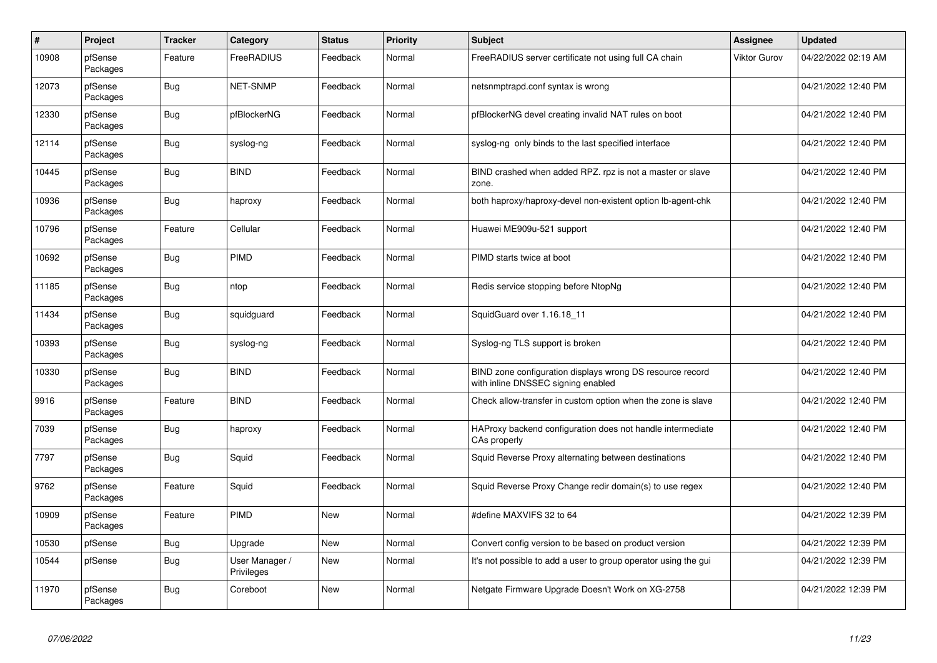| $\#$  | Project             | <b>Tracker</b> | Category                     | <b>Status</b> | <b>Priority</b> | <b>Subject</b>                                                                                  | <b>Assignee</b> | <b>Updated</b>      |
|-------|---------------------|----------------|------------------------------|---------------|-----------------|-------------------------------------------------------------------------------------------------|-----------------|---------------------|
| 10908 | pfSense<br>Packages | Feature        | FreeRADIUS                   | Feedback      | Normal          | FreeRADIUS server certificate not using full CA chain                                           | Viktor Gurov    | 04/22/2022 02:19 AM |
| 12073 | pfSense<br>Packages | <b>Bug</b>     | <b>NET-SNMP</b>              | Feedback      | Normal          | netsnmptrapd.conf syntax is wrong                                                               |                 | 04/21/2022 12:40 PM |
| 12330 | pfSense<br>Packages | <b>Bug</b>     | pfBlockerNG                  | Feedback      | Normal          | pfBlockerNG devel creating invalid NAT rules on boot                                            |                 | 04/21/2022 12:40 PM |
| 12114 | pfSense<br>Packages | <b>Bug</b>     | syslog-ng                    | Feedback      | Normal          | syslog-ng only binds to the last specified interface                                            |                 | 04/21/2022 12:40 PM |
| 10445 | pfSense<br>Packages | <b>Bug</b>     | <b>BIND</b>                  | Feedback      | Normal          | BIND crashed when added RPZ. rpz is not a master or slave<br>zone.                              |                 | 04/21/2022 12:40 PM |
| 10936 | pfSense<br>Packages | <b>Bug</b>     | haproxy                      | Feedback      | Normal          | both haproxy/haproxy-devel non-existent option lb-agent-chk                                     |                 | 04/21/2022 12:40 PM |
| 10796 | pfSense<br>Packages | Feature        | Cellular                     | Feedback      | Normal          | Huawei ME909u-521 support                                                                       |                 | 04/21/2022 12:40 PM |
| 10692 | pfSense<br>Packages | <b>Bug</b>     | PIMD                         | Feedback      | Normal          | PIMD starts twice at boot                                                                       |                 | 04/21/2022 12:40 PM |
| 11185 | pfSense<br>Packages | <b>Bug</b>     | ntop                         | Feedback      | Normal          | Redis service stopping before NtopNg                                                            |                 | 04/21/2022 12:40 PM |
| 11434 | pfSense<br>Packages | <b>Bug</b>     | squidguard                   | Feedback      | Normal          | SquidGuard over 1.16.18_11                                                                      |                 | 04/21/2022 12:40 PM |
| 10393 | pfSense<br>Packages | <b>Bug</b>     | syslog-ng                    | Feedback      | Normal          | Syslog-ng TLS support is broken                                                                 |                 | 04/21/2022 12:40 PM |
| 10330 | pfSense<br>Packages | <b>Bug</b>     | <b>BIND</b>                  | Feedback      | Normal          | BIND zone configuration displays wrong DS resource record<br>with inline DNSSEC signing enabled |                 | 04/21/2022 12:40 PM |
| 9916  | pfSense<br>Packages | Feature        | <b>BIND</b>                  | Feedback      | Normal          | Check allow-transfer in custom option when the zone is slave                                    |                 | 04/21/2022 12:40 PM |
| 7039  | pfSense<br>Packages | <b>Bug</b>     | haproxy                      | Feedback      | Normal          | HAProxy backend configuration does not handle intermediate<br>CAs properly                      |                 | 04/21/2022 12:40 PM |
| 7797  | pfSense<br>Packages | <b>Bug</b>     | Squid                        | Feedback      | Normal          | Squid Reverse Proxy alternating between destinations                                            |                 | 04/21/2022 12:40 PM |
| 9762  | pfSense<br>Packages | Feature        | Squid                        | Feedback      | Normal          | Squid Reverse Proxy Change redir domain(s) to use regex                                         |                 | 04/21/2022 12:40 PM |
| 10909 | pfSense<br>Packages | Feature        | PIMD                         | New           | Normal          | #define MAXVIFS 32 to 64                                                                        |                 | 04/21/2022 12:39 PM |
| 10530 | pfSense             | <b>Bug</b>     | Upgrade                      | <b>New</b>    | Normal          | Convert config version to be based on product version                                           |                 | 04/21/2022 12:39 PM |
| 10544 | pfSense             | <b>Bug</b>     | User Manager /<br>Privileges | New           | Normal          | It's not possible to add a user to group operator using the gui                                 |                 | 04/21/2022 12:39 PM |
| 11970 | pfSense<br>Packages | Bug            | Coreboot                     | New           | Normal          | Netgate Firmware Upgrade Doesn't Work on XG-2758                                                |                 | 04/21/2022 12:39 PM |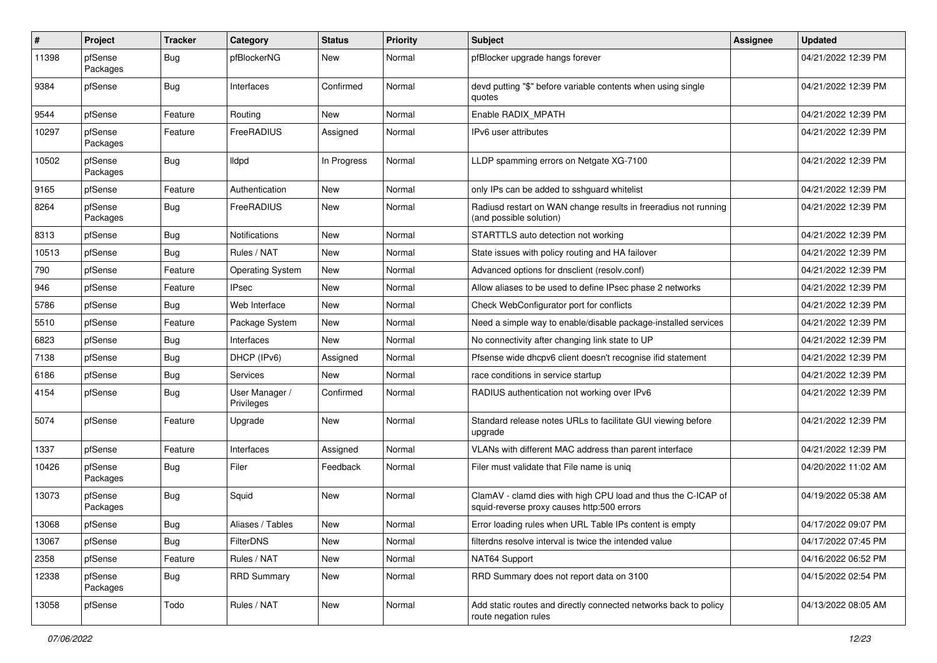| $\#$  | Project             | <b>Tracker</b> | Category                     | <b>Status</b> | <b>Priority</b> | <b>Subject</b>                                                                                              | Assignee | <b>Updated</b>      |
|-------|---------------------|----------------|------------------------------|---------------|-----------------|-------------------------------------------------------------------------------------------------------------|----------|---------------------|
| 11398 | pfSense<br>Packages | <b>Bug</b>     | pfBlockerNG                  | New           | Normal          | pfBlocker upgrade hangs forever                                                                             |          | 04/21/2022 12:39 PM |
| 9384  | pfSense             | <b>Bug</b>     | Interfaces                   | Confirmed     | Normal          | devd putting "\$" before variable contents when using single<br>quotes                                      |          | 04/21/2022 12:39 PM |
| 9544  | pfSense             | Feature        | Routing                      | <b>New</b>    | Normal          | Enable RADIX_MPATH                                                                                          |          | 04/21/2022 12:39 PM |
| 10297 | pfSense<br>Packages | Feature        | FreeRADIUS                   | Assigned      | Normal          | IPv6 user attributes                                                                                        |          | 04/21/2022 12:39 PM |
| 10502 | pfSense<br>Packages | <b>Bug</b>     | lldpd                        | In Progress   | Normal          | LLDP spamming errors on Netgate XG-7100                                                                     |          | 04/21/2022 12:39 PM |
| 9165  | pfSense             | Feature        | Authentication               | <b>New</b>    | Normal          | only IPs can be added to sshguard whitelist                                                                 |          | 04/21/2022 12:39 PM |
| 8264  | pfSense<br>Packages | <b>Bug</b>     | FreeRADIUS                   | New           | Normal          | Radiusd restart on WAN change results in freeradius not running<br>(and possible solution)                  |          | 04/21/2022 12:39 PM |
| 8313  | pfSense             | <b>Bug</b>     | Notifications                | New           | Normal          | STARTTLS auto detection not working                                                                         |          | 04/21/2022 12:39 PM |
| 10513 | pfSense             | <b>Bug</b>     | Rules / NAT                  | New           | Normal          | State issues with policy routing and HA failover                                                            |          | 04/21/2022 12:39 PM |
| 790   | pfSense             | Feature        | <b>Operating System</b>      | <b>New</b>    | Normal          | Advanced options for dnsclient (resolv.conf)                                                                |          | 04/21/2022 12:39 PM |
| 946   | pfSense             | Feature        | <b>IPsec</b>                 | New           | Normal          | Allow aliases to be used to define IPsec phase 2 networks                                                   |          | 04/21/2022 12:39 PM |
| 5786  | pfSense             | <b>Bug</b>     | Web Interface                | New           | Normal          | Check WebConfigurator port for conflicts                                                                    |          | 04/21/2022 12:39 PM |
| 5510  | pfSense             | Feature        | Package System               | New           | Normal          | Need a simple way to enable/disable package-installed services                                              |          | 04/21/2022 12:39 PM |
| 6823  | pfSense             | Bug            | Interfaces                   | <b>New</b>    | Normal          | No connectivity after changing link state to UP                                                             |          | 04/21/2022 12:39 PM |
| 7138  | pfSense             | <b>Bug</b>     | DHCP (IPv6)                  | Assigned      | Normal          | Pfsense wide dhcpv6 client doesn't recognise ifid statement                                                 |          | 04/21/2022 12:39 PM |
| 6186  | pfSense             | <b>Bug</b>     | <b>Services</b>              | <b>New</b>    | Normal          | race conditions in service startup                                                                          |          | 04/21/2022 12:39 PM |
| 4154  | pfSense             | <b>Bug</b>     | User Manager /<br>Privileges | Confirmed     | Normal          | RADIUS authentication not working over IPv6                                                                 |          | 04/21/2022 12:39 PM |
| 5074  | pfSense             | Feature        | Upgrade                      | New           | Normal          | Standard release notes URLs to facilitate GUI viewing before<br>upgrade                                     |          | 04/21/2022 12:39 PM |
| 1337  | pfSense             | Feature        | Interfaces                   | Assigned      | Normal          | VLANs with different MAC address than parent interface                                                      |          | 04/21/2022 12:39 PM |
| 10426 | pfSense<br>Packages | <b>Bug</b>     | Filer                        | Feedback      | Normal          | Filer must validate that File name is uniq                                                                  |          | 04/20/2022 11:02 AM |
| 13073 | pfSense<br>Packages | <b>Bug</b>     | Squid                        | <b>New</b>    | Normal          | ClamAV - clamd dies with high CPU load and thus the C-ICAP of<br>squid-reverse proxy causes http:500 errors |          | 04/19/2022 05:38 AM |
| 13068 | pfSense             | Bug            | Aliases / Tables             | New           | Normal          | Error loading rules when URL Table IPs content is empty                                                     |          | 04/17/2022 09:07 PM |
| 13067 | pfSense             | Bug            | FilterDNS                    | New           | Normal          | filterdns resolve interval is twice the intended value                                                      |          | 04/17/2022 07:45 PM |
| 2358  | pfSense             | Feature        | Rules / NAT                  | New           | Normal          | NAT64 Support                                                                                               |          | 04/16/2022 06:52 PM |
| 12338 | pfSense<br>Packages | <b>Bug</b>     | <b>RRD Summary</b>           | New           | Normal          | RRD Summary does not report data on 3100                                                                    |          | 04/15/2022 02:54 PM |
| 13058 | pfSense             | Todo           | Rules / NAT                  | New           | Normal          | Add static routes and directly connected networks back to policy<br>route negation rules                    |          | 04/13/2022 08:05 AM |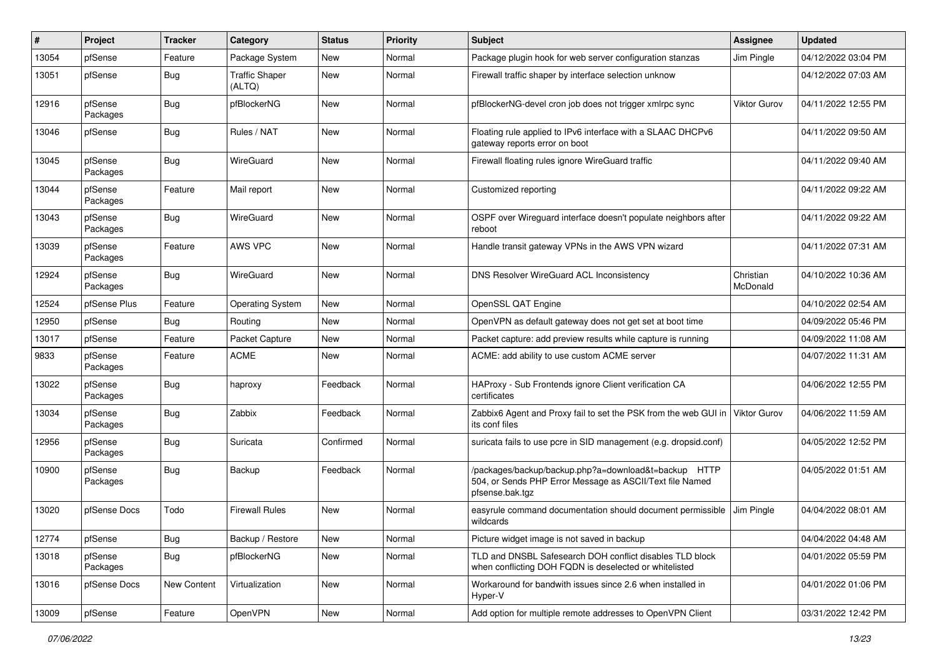| ∦     | Project             | <b>Tracker</b> | Category                        | <b>Status</b> | Priority | <b>Subject</b>                                                                                                                      | Assignee              | <b>Updated</b>      |
|-------|---------------------|----------------|---------------------------------|---------------|----------|-------------------------------------------------------------------------------------------------------------------------------------|-----------------------|---------------------|
| 13054 | pfSense             | Feature        | Package System                  | New           | Normal   | Package plugin hook for web server configuration stanzas                                                                            | Jim Pingle            | 04/12/2022 03:04 PM |
| 13051 | pfSense             | Bug            | <b>Traffic Shaper</b><br>(ALTQ) | <b>New</b>    | Normal   | Firewall traffic shaper by interface selection unknow                                                                               |                       | 04/12/2022 07:03 AM |
| 12916 | pfSense<br>Packages | Bug            | pfBlockerNG                     | <b>New</b>    | Normal   | pfBlockerNG-devel cron job does not trigger xmlrpc sync                                                                             | <b>Viktor Gurov</b>   | 04/11/2022 12:55 PM |
| 13046 | pfSense             | <b>Bug</b>     | Rules / NAT                     | <b>New</b>    | Normal   | Floating rule applied to IPv6 interface with a SLAAC DHCPv6<br>gateway reports error on boot                                        |                       | 04/11/2022 09:50 AM |
| 13045 | pfSense<br>Packages | <b>Bug</b>     | WireGuard                       | <b>New</b>    | Normal   | Firewall floating rules ignore WireGuard traffic                                                                                    |                       | 04/11/2022 09:40 AM |
| 13044 | pfSense<br>Packages | Feature        | Mail report                     | New           | Normal   | Customized reporting                                                                                                                |                       | 04/11/2022 09:22 AM |
| 13043 | pfSense<br>Packages | Bug            | WireGuard                       | <b>New</b>    | Normal   | OSPF over Wireguard interface doesn't populate neighbors after<br>reboot                                                            |                       | 04/11/2022 09:22 AM |
| 13039 | pfSense<br>Packages | Feature        | AWS VPC                         | <b>New</b>    | Normal   | Handle transit gateway VPNs in the AWS VPN wizard                                                                                   |                       | 04/11/2022 07:31 AM |
| 12924 | pfSense<br>Packages | <b>Bug</b>     | WireGuard                       | <b>New</b>    | Normal   | DNS Resolver WireGuard ACL Inconsistency                                                                                            | Christian<br>McDonald | 04/10/2022 10:36 AM |
| 12524 | pfSense Plus        | Feature        | <b>Operating System</b>         | <b>New</b>    | Normal   | OpenSSL QAT Engine                                                                                                                  |                       | 04/10/2022 02:54 AM |
| 12950 | pfSense             | Bug            | Routing                         | <b>New</b>    | Normal   | OpenVPN as default gateway does not get set at boot time                                                                            |                       | 04/09/2022 05:46 PM |
| 13017 | pfSense             | Feature        | Packet Capture                  | New           | Normal   | Packet capture: add preview results while capture is running                                                                        |                       | 04/09/2022 11:08 AM |
| 9833  | pfSense<br>Packages | Feature        | ACME                            | New           | Normal   | ACME: add ability to use custom ACME server                                                                                         |                       | 04/07/2022 11:31 AM |
| 13022 | pfSense<br>Packages | Bug            | haproxy                         | Feedback      | Normal   | HAProxy - Sub Frontends ignore Client verification CA<br>certificates                                                               |                       | 04/06/2022 12:55 PM |
| 13034 | pfSense<br>Packages | <b>Bug</b>     | Zabbix                          | Feedback      | Normal   | Zabbix6 Agent and Proxy fail to set the PSK from the web GUI in   Viktor Gurov<br>its conf files                                    |                       | 04/06/2022 11:59 AM |
| 12956 | pfSense<br>Packages | <b>Bug</b>     | Suricata                        | Confirmed     | Normal   | suricata fails to use pcre in SID management (e.g. dropsid.conf)                                                                    |                       | 04/05/2022 12:52 PM |
| 10900 | pfSense<br>Packages | Bug            | Backup                          | Feedback      | Normal   | /packages/backup/backup.php?a=download&t=backup HTTP<br>504, or Sends PHP Error Message as ASCII/Text file Named<br>pfsense.bak.tgz |                       | 04/05/2022 01:51 AM |
| 13020 | pfSense Docs        | Todo           | <b>Firewall Rules</b>           | New           | Normal   | easyrule command documentation should document permissible<br>wildcards                                                             | Jim Pingle            | 04/04/2022 08:01 AM |
| 12774 | pfSense             | <b>Bug</b>     | Backup / Restore                | New           | Normal   | Picture widget image is not saved in backup                                                                                         |                       | 04/04/2022 04:48 AM |
| 13018 | pfSense<br>Packages | <b>Bug</b>     | pfBlockerNG                     | New           | Normal   | TLD and DNSBL Safesearch DOH conflict disables TLD block<br>when conflicting DOH FQDN is deselected or whitelisted                  |                       | 04/01/2022 05:59 PM |
| 13016 | pfSense Docs        | New Content    | Virtualization                  | New           | Normal   | Workaround for bandwith issues since 2.6 when installed in<br>Hyper-V                                                               |                       | 04/01/2022 01:06 PM |
| 13009 | pfSense             | Feature        | OpenVPN                         | New           | Normal   | Add option for multiple remote addresses to OpenVPN Client                                                                          |                       | 03/31/2022 12:42 PM |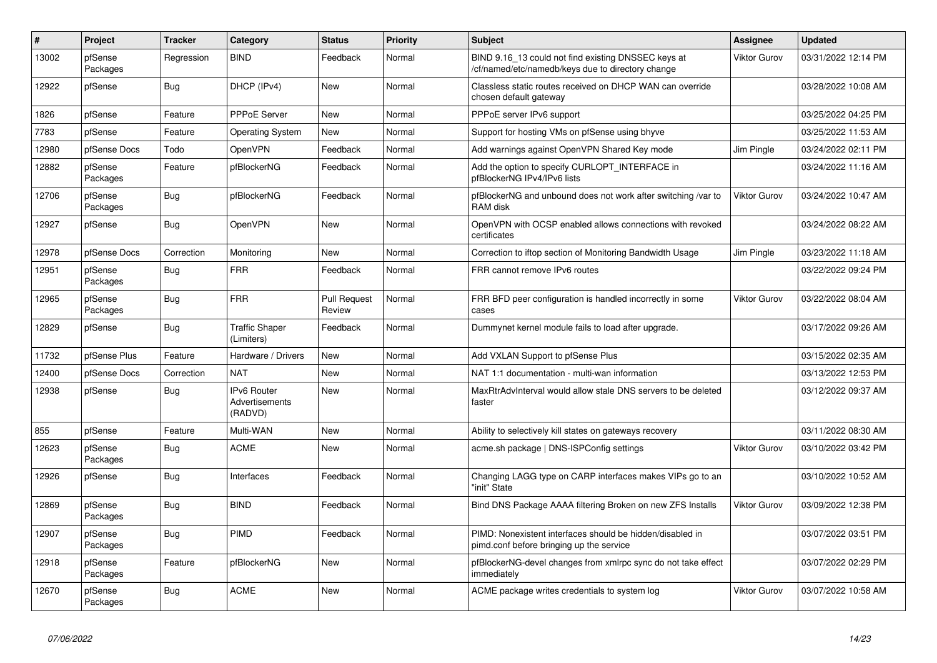| $\sharp$ | Project             | <b>Tracker</b> | Category                                 | <b>Status</b>                 | Priority | <b>Subject</b>                                                                                           | Assignee            | <b>Updated</b>      |
|----------|---------------------|----------------|------------------------------------------|-------------------------------|----------|----------------------------------------------------------------------------------------------------------|---------------------|---------------------|
| 13002    | pfSense<br>Packages | Regression     | <b>BIND</b>                              | Feedback                      | Normal   | BIND 9.16_13 could not find existing DNSSEC keys at<br>/cf/named/etc/namedb/keys due to directory change | <b>Viktor Gurov</b> | 03/31/2022 12:14 PM |
| 12922    | pfSense             | <b>Bug</b>     | DHCP (IPv4)                              | New                           | Normal   | Classless static routes received on DHCP WAN can override<br>chosen default gateway                      |                     | 03/28/2022 10:08 AM |
| 1826     | pfSense             | Feature        | <b>PPPoE Server</b>                      | <b>New</b>                    | Normal   | PPPoE server IPv6 support                                                                                |                     | 03/25/2022 04:25 PM |
| 7783     | pfSense             | Feature        | <b>Operating System</b>                  | New                           | Normal   | Support for hosting VMs on pfSense using bhyve                                                           |                     | 03/25/2022 11:53 AM |
| 12980    | pfSense Docs        | Todo           | OpenVPN                                  | Feedback                      | Normal   | Add warnings against OpenVPN Shared Key mode                                                             | Jim Pingle          | 03/24/2022 02:11 PM |
| 12882    | pfSense<br>Packages | Feature        | pfBlockerNG                              | Feedback                      | Normal   | Add the option to specify CURLOPT_INTERFACE in<br>pfBlockerNG IPv4/IPv6 lists                            |                     | 03/24/2022 11:16 AM |
| 12706    | pfSense<br>Packages | <b>Bug</b>     | pfBlockerNG                              | Feedback                      | Normal   | pfBlockerNG and unbound does not work after switching /var to<br>RAM disk                                | <b>Viktor Gurov</b> | 03/24/2022 10:47 AM |
| 12927    | pfSense             | Bug            | OpenVPN                                  | New                           | Normal   | OpenVPN with OCSP enabled allows connections with revoked<br>certificates                                |                     | 03/24/2022 08:22 AM |
| 12978    | pfSense Docs        | Correction     | Monitoring                               | <b>New</b>                    | Normal   | Correction to iftop section of Monitoring Bandwidth Usage                                                | Jim Pingle          | 03/23/2022 11:18 AM |
| 12951    | pfSense<br>Packages | Bug            | <b>FRR</b>                               | Feedback                      | Normal   | FRR cannot remove IPv6 routes                                                                            |                     | 03/22/2022 09:24 PM |
| 12965    | pfSense<br>Packages | <b>Bug</b>     | <b>FRR</b>                               | <b>Pull Request</b><br>Review | Normal   | FRR BFD peer configuration is handled incorrectly in some<br>cases                                       | <b>Viktor Gurov</b> | 03/22/2022 08:04 AM |
| 12829    | pfSense             | <b>Bug</b>     | <b>Traffic Shaper</b><br>(Limiters)      | Feedback                      | Normal   | Dummynet kernel module fails to load after upgrade.                                                      |                     | 03/17/2022 09:26 AM |
| 11732    | pfSense Plus        | Feature        | Hardware / Drivers                       | New                           | Normal   | Add VXLAN Support to pfSense Plus                                                                        |                     | 03/15/2022 02:35 AM |
| 12400    | pfSense Docs        | Correction     | <b>NAT</b>                               | <b>New</b>                    | Normal   | NAT 1:1 documentation - multi-wan information                                                            |                     | 03/13/2022 12:53 PM |
| 12938    | pfSense             | <b>Bug</b>     | IPv6 Router<br>Advertisements<br>(RADVD) | New                           | Normal   | MaxRtrAdvInterval would allow stale DNS servers to be deleted<br>faster                                  |                     | 03/12/2022 09:37 AM |
| 855      | pfSense             | Feature        | Multi-WAN                                | New                           | Normal   | Ability to selectively kill states on gateways recovery                                                  |                     | 03/11/2022 08:30 AM |
| 12623    | pfSense<br>Packages | Bug            | <b>ACME</b>                              | <b>New</b>                    | Normal   | acme.sh package   DNS-ISPConfig settings                                                                 | <b>Viktor Gurov</b> | 03/10/2022 03:42 PM |
| 12926    | pfSense             | Bug            | Interfaces                               | Feedback                      | Normal   | Changing LAGG type on CARP interfaces makes VIPs go to an<br>"init" State                                |                     | 03/10/2022 10:52 AM |
| 12869    | pfSense<br>Packages | Bug            | <b>BIND</b>                              | Feedback                      | Normal   | Bind DNS Package AAAA filtering Broken on new ZFS Installs                                               | <b>Viktor Gurov</b> | 03/09/2022 12:38 PM |
| 12907    | pfSense<br>Packages | Bug            | PIMD                                     | Feedback                      | Normal   | PIMD: Nonexistent interfaces should be hidden/disabled in<br>pimd.conf before bringing up the service    |                     | 03/07/2022 03:51 PM |
| 12918    | pfSense<br>Packages | Feature        | pfBlockerNG                              | New                           | Normal   | pfBlockerNG-devel changes from xmlrpc sync do not take effect<br>immediately                             |                     | 03/07/2022 02:29 PM |
| 12670    | pfSense<br>Packages | Bug            | <b>ACME</b>                              | <b>New</b>                    | Normal   | ACME package writes credentials to system log                                                            | <b>Viktor Gurov</b> | 03/07/2022 10:58 AM |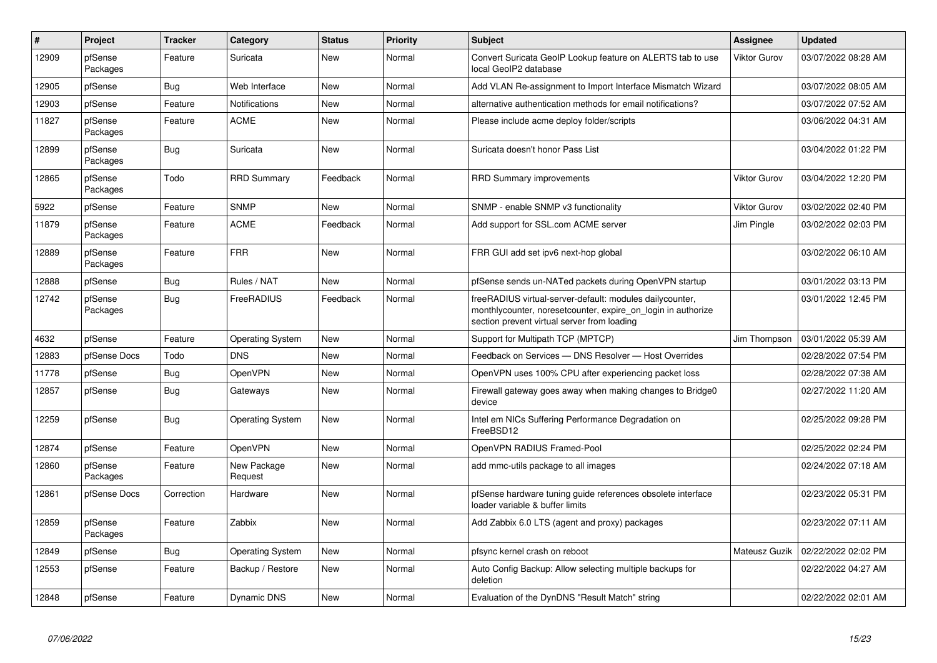| $\vert$ # | Project             | <b>Tracker</b> | Category                | <b>Status</b> | <b>Priority</b> | <b>Subject</b>                                                                                                                                                           | Assignee            | <b>Updated</b>      |
|-----------|---------------------|----------------|-------------------------|---------------|-----------------|--------------------------------------------------------------------------------------------------------------------------------------------------------------------------|---------------------|---------------------|
| 12909     | pfSense<br>Packages | Feature        | Suricata                | <b>New</b>    | Normal          | Convert Suricata GeoIP Lookup feature on ALERTS tab to use<br>local GeoIP2 database                                                                                      | <b>Viktor Gurov</b> | 03/07/2022 08:28 AM |
| 12905     | pfSense             | <b>Bug</b>     | Web Interface           | New           | Normal          | Add VLAN Re-assignment to Import Interface Mismatch Wizard                                                                                                               |                     | 03/07/2022 08:05 AM |
| 12903     | pfSense             | Feature        | Notifications           | New           | Normal          | alternative authentication methods for email notifications?                                                                                                              |                     | 03/07/2022 07:52 AM |
| 11827     | pfSense<br>Packages | Feature        | <b>ACME</b>             | <b>New</b>    | Normal          | Please include acme deploy folder/scripts                                                                                                                                |                     | 03/06/2022 04:31 AM |
| 12899     | pfSense<br>Packages | <b>Bug</b>     | Suricata                | New           | Normal          | Suricata doesn't honor Pass List                                                                                                                                         |                     | 03/04/2022 01:22 PM |
| 12865     | pfSense<br>Packages | Todo           | <b>RRD Summary</b>      | Feedback      | Normal          | <b>RRD Summary improvements</b>                                                                                                                                          | <b>Viktor Gurov</b> | 03/04/2022 12:20 PM |
| 5922      | pfSense             | Feature        | <b>SNMP</b>             | <b>New</b>    | Normal          | SNMP - enable SNMP v3 functionality                                                                                                                                      | <b>Viktor Gurov</b> | 03/02/2022 02:40 PM |
| 11879     | pfSense<br>Packages | Feature        | ACME                    | Feedback      | Normal          | Add support for SSL.com ACME server                                                                                                                                      | Jim Pingle          | 03/02/2022 02:03 PM |
| 12889     | pfSense<br>Packages | Feature        | <b>FRR</b>              | New           | Normal          | FRR GUI add set ipv6 next-hop global                                                                                                                                     |                     | 03/02/2022 06:10 AM |
| 12888     | pfSense             | <b>Bug</b>     | Rules / NAT             | <b>New</b>    | Normal          | pfSense sends un-NATed packets during OpenVPN startup                                                                                                                    |                     | 03/01/2022 03:13 PM |
| 12742     | pfSense<br>Packages | <b>Bug</b>     | FreeRADIUS              | Feedback      | Normal          | freeRADIUS virtual-server-default: modules dailycounter,<br>monthlycounter, noreset counter, expire on login in authorize<br>section prevent virtual server from loading |                     | 03/01/2022 12:45 PM |
| 4632      | pfSense             | Feature        | <b>Operating System</b> | <b>New</b>    | Normal          | Support for Multipath TCP (MPTCP)                                                                                                                                        | Jim Thompson        | 03/01/2022 05:39 AM |
| 12883     | pfSense Docs        | Todo           | <b>DNS</b>              | <b>New</b>    | Normal          | Feedback on Services - DNS Resolver - Host Overrides                                                                                                                     |                     | 02/28/2022 07:54 PM |
| 11778     | pfSense             | <b>Bug</b>     | OpenVPN                 | <b>New</b>    | Normal          | OpenVPN uses 100% CPU after experiencing packet loss                                                                                                                     |                     | 02/28/2022 07:38 AM |
| 12857     | pfSense             | Bug            | Gateways                | New           | Normal          | Firewall gateway goes away when making changes to Bridge0<br>device                                                                                                      |                     | 02/27/2022 11:20 AM |
| 12259     | pfSense             | <b>Bug</b>     | <b>Operating System</b> | <b>New</b>    | Normal          | Intel em NICs Suffering Performance Degradation on<br>FreeBSD12                                                                                                          |                     | 02/25/2022 09:28 PM |
| 12874     | pfSense             | Feature        | <b>OpenVPN</b>          | <b>New</b>    | Normal          | OpenVPN RADIUS Framed-Pool                                                                                                                                               |                     | 02/25/2022 02:24 PM |
| 12860     | pfSense<br>Packages | Feature        | New Package<br>Request  | New           | Normal          | add mmc-utils package to all images                                                                                                                                      |                     | 02/24/2022 07:18 AM |
| 12861     | pfSense Docs        | Correction     | Hardware                | <b>New</b>    | Normal          | pfSense hardware tuning guide references obsolete interface<br>loader variable & buffer limits                                                                           |                     | 02/23/2022 05:31 PM |
| 12859     | pfSense<br>Packages | Feature        | Zabbix                  | <b>New</b>    | Normal          | Add Zabbix 6.0 LTS (agent and proxy) packages                                                                                                                            |                     | 02/23/2022 07:11 AM |
| 12849     | pfSense             | <b>Bug</b>     | <b>Operating System</b> | New           | Normal          | pfsync kernel crash on reboot                                                                                                                                            | Mateusz Guzik       | 02/22/2022 02:02 PM |
| 12553     | pfSense             | Feature        | Backup / Restore        | New           | Normal          | Auto Config Backup: Allow selecting multiple backups for<br>deletion                                                                                                     |                     | 02/22/2022 04:27 AM |
| 12848     | pfSense             | Feature        | Dynamic DNS             | New           | Normal          | Evaluation of the DynDNS "Result Match" string                                                                                                                           |                     | 02/22/2022 02:01 AM |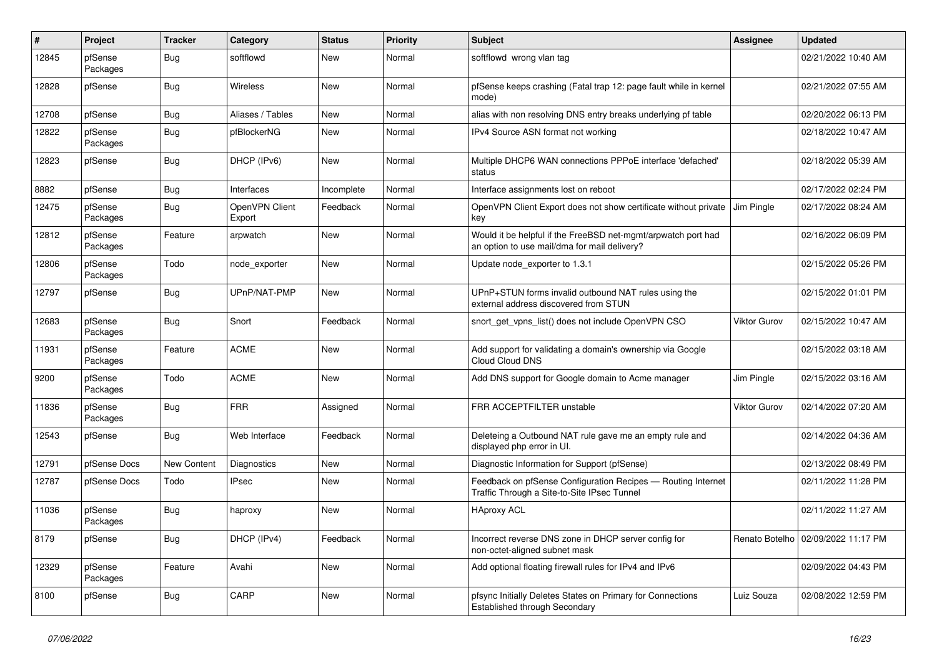| $\vert$ # | Project             | <b>Tracker</b>     | Category                 | <b>Status</b> | Priority | <b>Subject</b>                                                                                                | Assignee            | <b>Updated</b>      |
|-----------|---------------------|--------------------|--------------------------|---------------|----------|---------------------------------------------------------------------------------------------------------------|---------------------|---------------------|
| 12845     | pfSense<br>Packages | <b>Bug</b>         | softflowd                | New           | Normal   | softflowd wrong vlan tag                                                                                      |                     | 02/21/2022 10:40 AM |
| 12828     | pfSense             | Bug                | <b>Wireless</b>          | <b>New</b>    | Normal   | pfSense keeps crashing (Fatal trap 12: page fault while in kernel<br>mode)                                    |                     | 02/21/2022 07:55 AM |
| 12708     | pfSense             | <b>Bug</b>         | Aliases / Tables         | New           | Normal   | alias with non resolving DNS entry breaks underlying pf table                                                 |                     | 02/20/2022 06:13 PM |
| 12822     | pfSense<br>Packages | <b>Bug</b>         | pfBlockerNG              | <b>New</b>    | Normal   | IPv4 Source ASN format not working                                                                            |                     | 02/18/2022 10:47 AM |
| 12823     | pfSense             | Bug                | DHCP (IPv6)              | New           | Normal   | Multiple DHCP6 WAN connections PPPoE interface 'defached'<br>status                                           |                     | 02/18/2022 05:39 AM |
| 8882      | pfSense             | Bug                | Interfaces               | Incomplete    | Normal   | Interface assignments lost on reboot                                                                          |                     | 02/17/2022 02:24 PM |
| 12475     | pfSense<br>Packages | Bug                | OpenVPN Client<br>Export | Feedback      | Normal   | OpenVPN Client Export does not show certificate without private<br>key                                        | Jim Pingle          | 02/17/2022 08:24 AM |
| 12812     | pfSense<br>Packages | Feature            | arpwatch                 | <b>New</b>    | Normal   | Would it be helpful if the FreeBSD net-mgmt/arpwatch port had<br>an option to use mail/dma for mail delivery? |                     | 02/16/2022 06:09 PM |
| 12806     | pfSense<br>Packages | Todo               | node exporter            | New           | Normal   | Update node exporter to 1.3.1                                                                                 |                     | 02/15/2022 05:26 PM |
| 12797     | pfSense             | Bug                | UPnP/NAT-PMP             | <b>New</b>    | Normal   | UPnP+STUN forms invalid outbound NAT rules using the<br>external address discovered from STUN                 |                     | 02/15/2022 01:01 PM |
| 12683     | pfSense<br>Packages | Bug                | Snort                    | Feedback      | Normal   | snort get vpns list() does not include OpenVPN CSO                                                            | <b>Viktor Gurov</b> | 02/15/2022 10:47 AM |
| 11931     | pfSense<br>Packages | Feature            | <b>ACME</b>              | New           | Normal   | Add support for validating a domain's ownership via Google<br>Cloud Cloud DNS                                 |                     | 02/15/2022 03:18 AM |
| 9200      | pfSense<br>Packages | Todo               | <b>ACME</b>              | <b>New</b>    | Normal   | Add DNS support for Google domain to Acme manager                                                             | Jim Pingle          | 02/15/2022 03:16 AM |
| 11836     | pfSense<br>Packages | Bug                | <b>FRR</b>               | Assigned      | Normal   | FRR ACCEPTFILTER unstable                                                                                     | <b>Viktor Gurov</b> | 02/14/2022 07:20 AM |
| 12543     | pfSense             | Bug                | Web Interface            | Feedback      | Normal   | Deleteing a Outbound NAT rule gave me an empty rule and<br>displayed php error in UI.                         |                     | 02/14/2022 04:36 AM |
| 12791     | pfSense Docs        | <b>New Content</b> | Diagnostics              | New           | Normal   | Diagnostic Information for Support (pfSense)                                                                  |                     | 02/13/2022 08:49 PM |
| 12787     | pfSense Docs        | Todo               | <b>IPsec</b>             | <b>New</b>    | Normal   | Feedback on pfSense Configuration Recipes - Routing Internet<br>Traffic Through a Site-to-Site IPsec Tunnel   |                     | 02/11/2022 11:28 PM |
| 11036     | pfSense<br>Packages | Bug                | haproxy                  | <b>New</b>    | Normal   | <b>HAproxy ACL</b>                                                                                            |                     | 02/11/2022 11:27 AM |
| 8179      | pfSense             | <b>Bug</b>         | DHCP (IPv4)              | Feedback      | Normal   | Incorrect reverse DNS zone in DHCP server config for<br>non-octet-aligned subnet mask                         | Renato Botelho      | 02/09/2022 11:17 PM |
| 12329     | pfSense<br>Packages | Feature            | Avahi                    | New           | Normal   | Add optional floating firewall rules for IPv4 and IPv6                                                        |                     | 02/09/2022 04:43 PM |
| 8100      | pfSense             | Bug                | CARP                     | <b>New</b>    | Normal   | pfsync Initially Deletes States on Primary for Connections<br>Established through Secondary                   | Luiz Souza          | 02/08/2022 12:59 PM |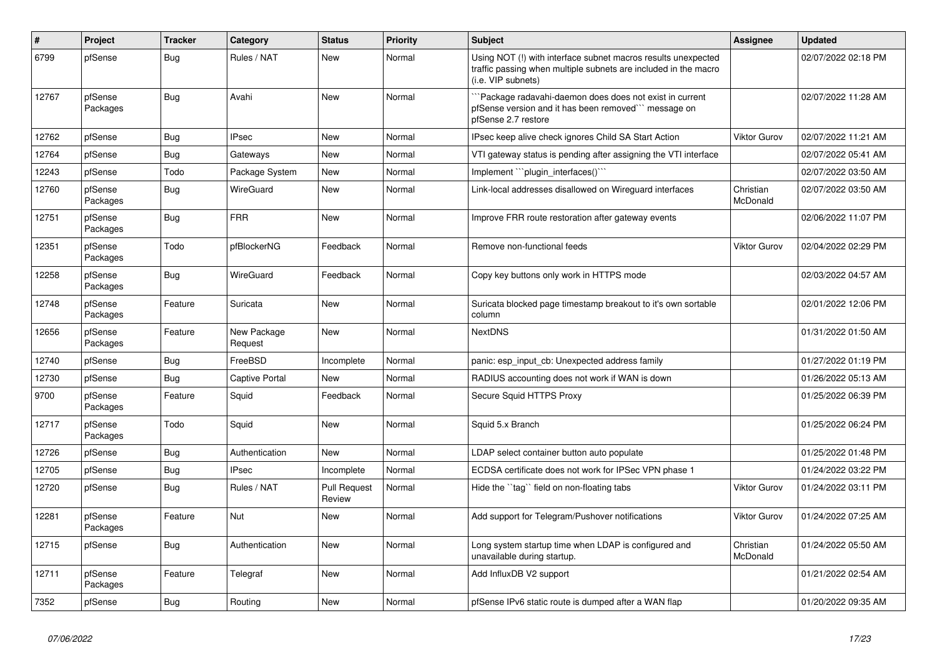| #     | Project             | <b>Tracker</b> | Category               | <b>Status</b>                 | <b>Priority</b> | <b>Subject</b>                                                                                                                                         | Assignee              | <b>Updated</b>      |
|-------|---------------------|----------------|------------------------|-------------------------------|-----------------|--------------------------------------------------------------------------------------------------------------------------------------------------------|-----------------------|---------------------|
| 6799  | pfSense             | Bug            | Rules / NAT            | <b>New</b>                    | Normal          | Using NOT (!) with interface subnet macros results unexpected<br>traffic passing when multiple subnets are included in the macro<br>(i.e. VIP subnets) |                       | 02/07/2022 02:18 PM |
| 12767 | pfSense<br>Packages | Bug            | Avahi                  | <b>New</b>                    | Normal          | `Package radavahi-daemon does does not exist in current<br>pfSense version and it has been removed" message on<br>pfSense 2.7 restore                  |                       | 02/07/2022 11:28 AM |
| 12762 | pfSense             | <b>Bug</b>     | <b>IPsec</b>           | <b>New</b>                    | Normal          | IPsec keep alive check ignores Child SA Start Action                                                                                                   | <b>Viktor Gurov</b>   | 02/07/2022 11:21 AM |
| 12764 | pfSense             | Bug            | Gateways               | <b>New</b>                    | Normal          | VTI gateway status is pending after assigning the VTI interface                                                                                        |                       | 02/07/2022 05:41 AM |
| 12243 | pfSense             | Todo           | Package System         | New                           | Normal          | Implement "`plugin_interfaces()`"                                                                                                                      |                       | 02/07/2022 03:50 AM |
| 12760 | pfSense<br>Packages | <b>Bug</b>     | <b>WireGuard</b>       | <b>New</b>                    | Normal          | Link-local addresses disallowed on Wireguard interfaces                                                                                                | Christian<br>McDonald | 02/07/2022 03:50 AM |
| 12751 | pfSense<br>Packages | Bug            | <b>FRR</b>             | <b>New</b>                    | Normal          | Improve FRR route restoration after gateway events                                                                                                     |                       | 02/06/2022 11:07 PM |
| 12351 | pfSense<br>Packages | Todo           | pfBlockerNG            | Feedback                      | Normal          | Remove non-functional feeds                                                                                                                            | <b>Viktor Gurov</b>   | 02/04/2022 02:29 PM |
| 12258 | pfSense<br>Packages | <b>Bug</b>     | <b>WireGuard</b>       | Feedback                      | Normal          | Copy key buttons only work in HTTPS mode                                                                                                               |                       | 02/03/2022 04:57 AM |
| 12748 | pfSense<br>Packages | Feature        | Suricata               | <b>New</b>                    | Normal          | Suricata blocked page timestamp breakout to it's own sortable<br>column                                                                                |                       | 02/01/2022 12:06 PM |
| 12656 | pfSense<br>Packages | Feature        | New Package<br>Request | <b>New</b>                    | Normal          | <b>NextDNS</b>                                                                                                                                         |                       | 01/31/2022 01:50 AM |
| 12740 | pfSense             | <b>Bug</b>     | FreeBSD                | Incomplete                    | Normal          | panic: esp input cb: Unexpected address family                                                                                                         |                       | 01/27/2022 01:19 PM |
| 12730 | pfSense             | <b>Bug</b>     | Captive Portal         | <b>New</b>                    | Normal          | RADIUS accounting does not work if WAN is down                                                                                                         |                       | 01/26/2022 05:13 AM |
| 9700  | pfSense<br>Packages | Feature        | Squid                  | Feedback                      | Normal          | Secure Squid HTTPS Proxy                                                                                                                               |                       | 01/25/2022 06:39 PM |
| 12717 | pfSense<br>Packages | Todo           | Squid                  | <b>New</b>                    | Normal          | Squid 5.x Branch                                                                                                                                       |                       | 01/25/2022 06:24 PM |
| 12726 | pfSense             | <b>Bug</b>     | Authentication         | <b>New</b>                    | Normal          | LDAP select container button auto populate                                                                                                             |                       | 01/25/2022 01:48 PM |
| 12705 | pfSense             | Bug            | <b>IPsec</b>           | Incomplete                    | Normal          | ECDSA certificate does not work for IPSec VPN phase 1                                                                                                  |                       | 01/24/2022 03:22 PM |
| 12720 | pfSense             | Bug            | Rules / NAT            | <b>Pull Request</b><br>Review | Normal          | Hide the "tag" field on non-floating tabs                                                                                                              | <b>Viktor Gurov</b>   | 01/24/2022 03:11 PM |
| 12281 | pfSense<br>Packages | Feature        | <b>Nut</b>             | <b>New</b>                    | Normal          | Add support for Telegram/Pushover notifications                                                                                                        | <b>Viktor Gurov</b>   | 01/24/2022 07:25 AM |
| 12715 | pfSense             | <b>Bug</b>     | Authentication         | New                           | Normal          | Long system startup time when LDAP is configured and<br>unavailable during startup.                                                                    | Christian<br>McDonald | 01/24/2022 05:50 AM |
| 12711 | pfSense<br>Packages | Feature        | Telegraf               | <b>New</b>                    | Normal          | Add InfluxDB V2 support                                                                                                                                |                       | 01/21/2022 02:54 AM |
| 7352  | pfSense             | Bug            | Routing                | <b>New</b>                    | Normal          | pfSense IPv6 static route is dumped after a WAN flap                                                                                                   |                       | 01/20/2022 09:35 AM |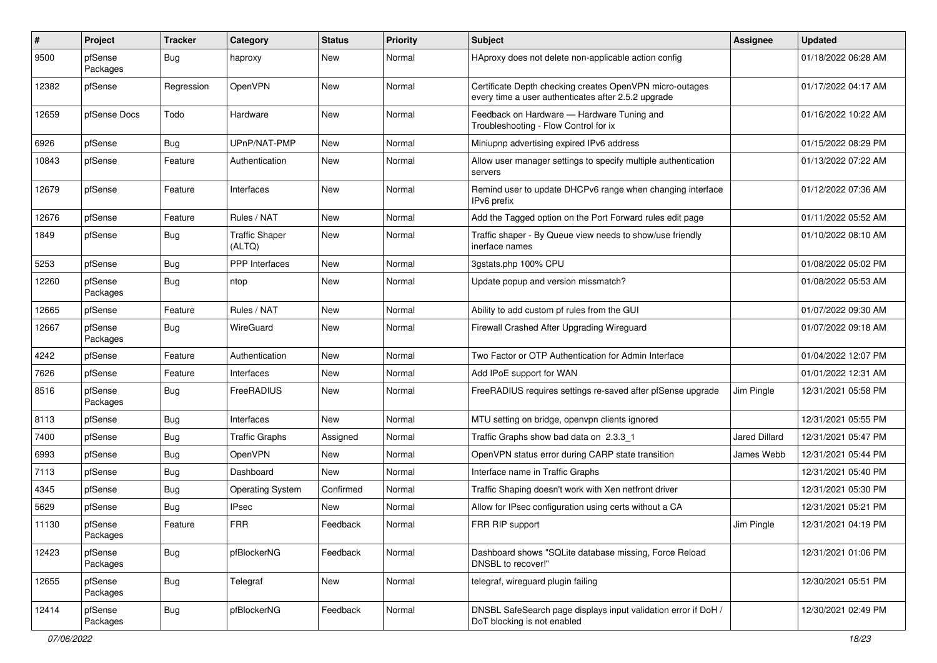| $\sharp$ | Project             | <b>Tracker</b> | Category                        | <b>Status</b> | <b>Priority</b> | Subject                                                                                                         | Assignee      | <b>Updated</b>      |
|----------|---------------------|----------------|---------------------------------|---------------|-----------------|-----------------------------------------------------------------------------------------------------------------|---------------|---------------------|
| 9500     | pfSense<br>Packages | <b>Bug</b>     | haproxy                         | New           | Normal          | HAproxy does not delete non-applicable action config                                                            |               | 01/18/2022 06:28 AM |
| 12382    | pfSense             | Regression     | OpenVPN                         | New           | Normal          | Certificate Depth checking creates OpenVPN micro-outages<br>every time a user authenticates after 2.5.2 upgrade |               | 01/17/2022 04:17 AM |
| 12659    | pfSense Docs        | Todo           | Hardware                        | New           | Normal          | Feedback on Hardware - Hardware Tuning and<br>Troubleshooting - Flow Control for ix                             |               | 01/16/2022 10:22 AM |
| 6926     | pfSense             | Bug            | UPnP/NAT-PMP                    | New           | Normal          | Miniupnp advertising expired IPv6 address                                                                       |               | 01/15/2022 08:29 PM |
| 10843    | pfSense             | Feature        | Authentication                  | New           | Normal          | Allow user manager settings to specify multiple authentication<br>servers                                       |               | 01/13/2022 07:22 AM |
| 12679    | pfSense             | Feature        | Interfaces                      | New           | Normal          | Remind user to update DHCPv6 range when changing interface<br>IPv6 prefix                                       |               | 01/12/2022 07:36 AM |
| 12676    | pfSense             | Feature        | Rules / NAT                     | New           | Normal          | Add the Tagged option on the Port Forward rules edit page                                                       |               | 01/11/2022 05:52 AM |
| 1849     | pfSense             | <b>Bug</b>     | <b>Traffic Shaper</b><br>(ALTQ) | New           | Normal          | Traffic shaper - By Queue view needs to show/use friendly<br>inerface names                                     |               | 01/10/2022 08:10 AM |
| 5253     | pfSense             | <b>Bug</b>     | <b>PPP</b> Interfaces           | New           | Normal          | 3gstats.php 100% CPU                                                                                            |               | 01/08/2022 05:02 PM |
| 12260    | pfSense<br>Packages | <b>Bug</b>     | ntop                            | <b>New</b>    | Normal          | Update popup and version missmatch?                                                                             |               | 01/08/2022 05:53 AM |
| 12665    | pfSense             | Feature        | Rules / NAT                     | New           | Normal          | Ability to add custom pf rules from the GUI                                                                     |               | 01/07/2022 09:30 AM |
| 12667    | pfSense<br>Packages | Bug            | WireGuard                       | New           | Normal          | Firewall Crashed After Upgrading Wireguard                                                                      |               | 01/07/2022 09:18 AM |
| 4242     | pfSense             | Feature        | Authentication                  | New           | Normal          | Two Factor or OTP Authentication for Admin Interface                                                            |               | 01/04/2022 12:07 PM |
| 7626     | pfSense             | Feature        | Interfaces                      | New           | Normal          | Add IPoE support for WAN                                                                                        |               | 01/01/2022 12:31 AM |
| 8516     | pfSense<br>Packages | Bug            | FreeRADIUS                      | New           | Normal          | FreeRADIUS requires settings re-saved after pfSense upgrade                                                     | Jim Pingle    | 12/31/2021 05:58 PM |
| 8113     | pfSense             | Bug            | Interfaces                      | <b>New</b>    | Normal          | MTU setting on bridge, openvpn clients ignored                                                                  |               | 12/31/2021 05:55 PM |
| 7400     | pfSense             | <b>Bug</b>     | <b>Traffic Graphs</b>           | Assigned      | Normal          | Traffic Graphs show bad data on 2.3.3 1                                                                         | Jared Dillard | 12/31/2021 05:47 PM |
| 6993     | pfSense             | <b>Bug</b>     | OpenVPN                         | New           | Normal          | OpenVPN status error during CARP state transition                                                               | James Webb    | 12/31/2021 05:44 PM |
| 7113     | pfSense             | <b>Bug</b>     | Dashboard                       | New           | Normal          | Interface name in Traffic Graphs                                                                                |               | 12/31/2021 05:40 PM |
| 4345     | pfSense             | <b>Bug</b>     | <b>Operating System</b>         | Confirmed     | Normal          | Traffic Shaping doesn't work with Xen netfront driver                                                           |               | 12/31/2021 05:30 PM |
| 5629     | pfSense             | <b>Bug</b>     | IPsec                           | New           | Normal          | Allow for IPsec configuration using certs without a CA                                                          |               | 12/31/2021 05:21 PM |
| 11130    | pfSense<br>Packages | Feature        | FRR                             | Feedback      | Normal          | FRR RIP support                                                                                                 | Jim Pingle    | 12/31/2021 04:19 PM |
| 12423    | pfSense<br>Packages | <b>Bug</b>     | pfBlockerNG                     | Feedback      | Normal          | Dashboard shows "SQLite database missing, Force Reload<br>DNSBL to recover!"                                    |               | 12/31/2021 01:06 PM |
| 12655    | pfSense<br>Packages | <b>Bug</b>     | Telegraf                        | New           | Normal          | telegraf, wireguard plugin failing                                                                              |               | 12/30/2021 05:51 PM |
| 12414    | pfSense<br>Packages | <b>Bug</b>     | pfBlockerNG                     | Feedback      | Normal          | DNSBL SafeSearch page displays input validation error if DoH /<br>DoT blocking is not enabled                   |               | 12/30/2021 02:49 PM |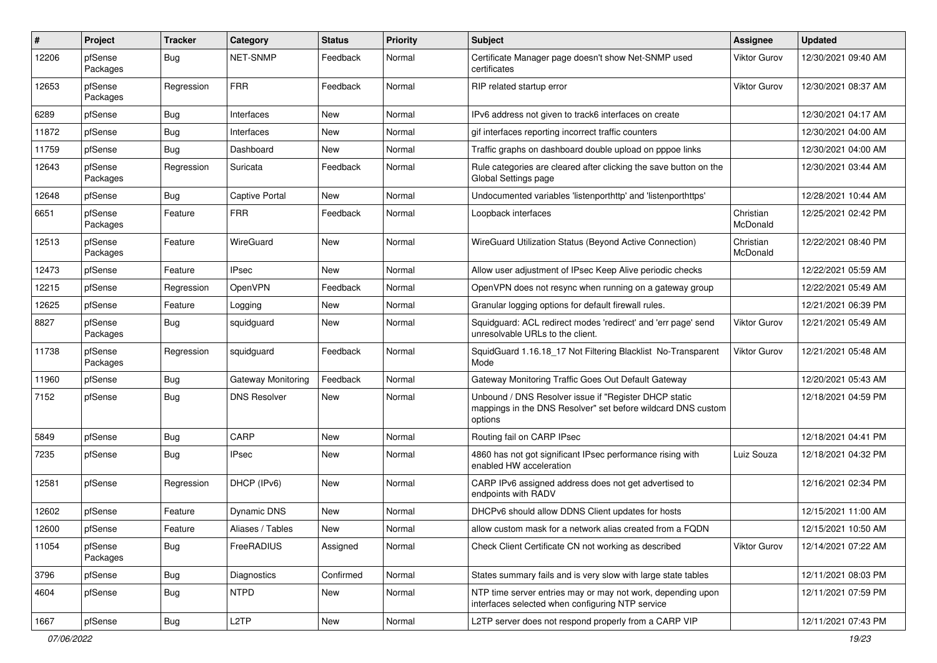| #     | Project             | <b>Tracker</b> | Category            | <b>Status</b> | <b>Priority</b> | <b>Subject</b>                                                                                                                   | <b>Assignee</b>       | <b>Updated</b>      |
|-------|---------------------|----------------|---------------------|---------------|-----------------|----------------------------------------------------------------------------------------------------------------------------------|-----------------------|---------------------|
| 12206 | pfSense<br>Packages | Bug            | NET-SNMP            | Feedback      | Normal          | Certificate Manager page doesn't show Net-SNMP used<br>certificates                                                              | Viktor Gurov          | 12/30/2021 09:40 AM |
| 12653 | pfSense<br>Packages | Regression     | <b>FRR</b>          | Feedback      | Normal          | RIP related startup error                                                                                                        | Viktor Gurov          | 12/30/2021 08:37 AM |
| 6289  | pfSense             | Bug            | Interfaces          | <b>New</b>    | Normal          | IPv6 address not given to track6 interfaces on create                                                                            |                       | 12/30/2021 04:17 AM |
| 11872 | pfSense             | <b>Bug</b>     | Interfaces          | New           | Normal          | gif interfaces reporting incorrect traffic counters                                                                              |                       | 12/30/2021 04:00 AM |
| 11759 | pfSense             | Bug            | Dashboard           | New           | Normal          | Traffic graphs on dashboard double upload on pppoe links                                                                         |                       | 12/30/2021 04:00 AM |
| 12643 | pfSense<br>Packages | Regression     | Suricata            | Feedback      | Normal          | Rule categories are cleared after clicking the save button on the<br>Global Settings page                                        |                       | 12/30/2021 03:44 AM |
| 12648 | pfSense             | Bug            | Captive Portal      | New           | Normal          | Undocumented variables 'listenporthttp' and 'listenporthttps'                                                                    |                       | 12/28/2021 10:44 AM |
| 6651  | pfSense<br>Packages | Feature        | <b>FRR</b>          | Feedback      | Normal          | Loopback interfaces                                                                                                              | Christian<br>McDonald | 12/25/2021 02:42 PM |
| 12513 | pfSense<br>Packages | Feature        | WireGuard           | New           | Normal          | WireGuard Utilization Status (Beyond Active Connection)                                                                          | Christian<br>McDonald | 12/22/2021 08:40 PM |
| 12473 | pfSense             | Feature        | <b>IPsec</b>        | New           | Normal          | Allow user adjustment of IPsec Keep Alive periodic checks                                                                        |                       | 12/22/2021 05:59 AM |
| 12215 | pfSense             | Regression     | OpenVPN             | Feedback      | Normal          | OpenVPN does not resync when running on a gateway group                                                                          |                       | 12/22/2021 05:49 AM |
| 12625 | pfSense             | Feature        | Logging             | New           | Normal          | Granular logging options for default firewall rules.                                                                             |                       | 12/21/2021 06:39 PM |
| 8827  | pfSense<br>Packages | Bug            | squidguard          | New           | Normal          | Squidguard: ACL redirect modes 'redirect' and 'err page' send<br>unresolvable URLs to the client.                                | Viktor Gurov          | 12/21/2021 05:49 AM |
| 11738 | pfSense<br>Packages | Regression     | squidquard          | Feedback      | Normal          | SquidGuard 1.16.18_17 Not Filtering Blacklist No-Transparent<br>Mode                                                             | Viktor Gurov          | 12/21/2021 05:48 AM |
| 11960 | pfSense             | Bug            | Gateway Monitoring  | Feedback      | Normal          | Gateway Monitoring Traffic Goes Out Default Gateway                                                                              |                       | 12/20/2021 05:43 AM |
| 7152  | pfSense             | <b>Bug</b>     | <b>DNS Resolver</b> | New           | Normal          | Unbound / DNS Resolver issue if "Register DHCP static<br>mappings in the DNS Resolver" set before wildcard DNS custom<br>options |                       | 12/18/2021 04:59 PM |
| 5849  | pfSense             | Bug            | CARP                | New           | Normal          | Routing fail on CARP IPsec                                                                                                       |                       | 12/18/2021 04:41 PM |
| 7235  | pfSense             | Bug            | <b>IPsec</b>        | New           | Normal          | 4860 has not got significant IPsec performance rising with<br>enabled HW acceleration                                            | Luiz Souza            | 12/18/2021 04:32 PM |
| 12581 | pfSense             | Regression     | DHCP (IPv6)         | New           | Normal          | CARP IPv6 assigned address does not get advertised to<br>endpoints with RADV                                                     |                       | 12/16/2021 02:34 PM |
| 12602 | pfSense             | Feature        | Dynamic DNS         | New           | Normal          | DHCPv6 should allow DDNS Client updates for hosts                                                                                |                       | 12/15/2021 11:00 AM |
| 12600 | pfSense             | Feature        | Aliases / Tables    | New           | Normal          | allow custom mask for a network alias created from a FQDN                                                                        |                       | 12/15/2021 10:50 AM |
| 11054 | pfSense<br>Packages | <b>Bug</b>     | FreeRADIUS          | Assigned      | Normal          | Check Client Certificate CN not working as described                                                                             | <b>Viktor Gurov</b>   | 12/14/2021 07:22 AM |
| 3796  | pfSense             | <b>Bug</b>     | Diagnostics         | Confirmed     | Normal          | States summary fails and is very slow with large state tables                                                                    |                       | 12/11/2021 08:03 PM |
| 4604  | pfSense             | <b>Bug</b>     | <b>NTPD</b>         | New           | Normal          | NTP time server entries may or may not work, depending upon<br>interfaces selected when configuring NTP service                  |                       | 12/11/2021 07:59 PM |
| 1667  | pfSense             | Bug            | L <sub>2</sub> TP   | New           | Normal          | L2TP server does not respond properly from a CARP VIP                                                                            |                       | 12/11/2021 07:43 PM |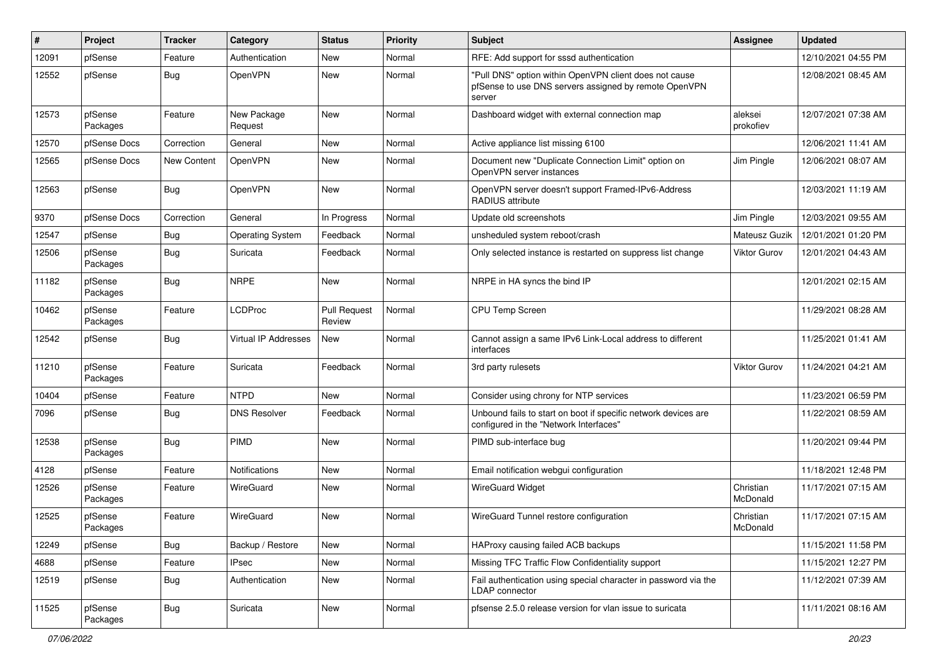| #     | Project             | <b>Tracker</b> | Category                    | <b>Status</b>                 | <b>Priority</b> | Subject                                                                                                                   | <b>Assignee</b>       | <b>Updated</b>      |
|-------|---------------------|----------------|-----------------------------|-------------------------------|-----------------|---------------------------------------------------------------------------------------------------------------------------|-----------------------|---------------------|
| 12091 | pfSense             | Feature        | Authentication              | New                           | Normal          | RFE: Add support for sssd authentication                                                                                  |                       | 12/10/2021 04:55 PM |
| 12552 | pfSense             | <b>Bug</b>     | OpenVPN                     | New                           | Normal          | "Pull DNS" option within OpenVPN client does not cause<br>pfSense to use DNS servers assigned by remote OpenVPN<br>server |                       | 12/08/2021 08:45 AM |
| 12573 | pfSense<br>Packages | Feature        | New Package<br>Request      | New                           | Normal          | Dashboard widget with external connection map                                                                             | aleksei<br>prokofiev  | 12/07/2021 07:38 AM |
| 12570 | pfSense Docs        | Correction     | General                     | New                           | Normal          | Active appliance list missing 6100                                                                                        |                       | 12/06/2021 11:41 AM |
| 12565 | pfSense Docs        | New Content    | OpenVPN                     | <b>New</b>                    | Normal          | Document new "Duplicate Connection Limit" option on<br>OpenVPN server instances                                           | Jim Pingle            | 12/06/2021 08:07 AM |
| 12563 | pfSense             | Bug            | OpenVPN                     | New                           | Normal          | OpenVPN server doesn't support Framed-IPv6-Address<br><b>RADIUS attribute</b>                                             |                       | 12/03/2021 11:19 AM |
| 9370  | pfSense Docs        | Correction     | General                     | In Progress                   | Normal          | Update old screenshots                                                                                                    | Jim Pingle            | 12/03/2021 09:55 AM |
| 12547 | pfSense             | <b>Bug</b>     | <b>Operating System</b>     | Feedback                      | Normal          | unsheduled system reboot/crash                                                                                            | Mateusz Guzik         | 12/01/2021 01:20 PM |
| 12506 | pfSense<br>Packages | Bug            | Suricata                    | Feedback                      | Normal          | Only selected instance is restarted on suppress list change                                                               | <b>Viktor Gurov</b>   | 12/01/2021 04:43 AM |
| 11182 | pfSense<br>Packages | <b>Bug</b>     | <b>NRPE</b>                 | <b>New</b>                    | Normal          | NRPE in HA syncs the bind IP                                                                                              |                       | 12/01/2021 02:15 AM |
| 10462 | pfSense<br>Packages | Feature        | LCDProc                     | <b>Pull Request</b><br>Review | Normal          | CPU Temp Screen                                                                                                           |                       | 11/29/2021 08:28 AM |
| 12542 | pfSense             | Bug            | <b>Virtual IP Addresses</b> | New                           | Normal          | Cannot assign a same IPv6 Link-Local address to different<br>interfaces                                                   |                       | 11/25/2021 01:41 AM |
| 11210 | pfSense<br>Packages | Feature        | Suricata                    | Feedback                      | Normal          | 3rd party rulesets                                                                                                        | Viktor Gurov          | 11/24/2021 04:21 AM |
| 10404 | pfSense             | Feature        | <b>NTPD</b>                 | <b>New</b>                    | Normal          | Consider using chrony for NTP services                                                                                    |                       | 11/23/2021 06:59 PM |
| 7096  | pfSense             | Bug            | <b>DNS Resolver</b>         | Feedback                      | Normal          | Unbound fails to start on boot if specific network devices are<br>configured in the "Network Interfaces"                  |                       | 11/22/2021 08:59 AM |
| 12538 | pfSense<br>Packages | <b>Bug</b>     | PIMD                        | <b>New</b>                    | Normal          | PIMD sub-interface bug                                                                                                    |                       | 11/20/2021 09:44 PM |
| 4128  | pfSense             | Feature        | Notifications               | New                           | Normal          | Email notification webgui configuration                                                                                   |                       | 11/18/2021 12:48 PM |
| 12526 | pfSense<br>Packages | Feature        | WireGuard                   | <b>New</b>                    | Normal          | <b>WireGuard Widget</b>                                                                                                   | Christian<br>McDonald | 11/17/2021 07:15 AM |
| 12525 | pfSense<br>Packages | Feature        | WireGuard                   | New                           | Normal          | WireGuard Tunnel restore configuration                                                                                    | Christian<br>McDonald | 11/17/2021 07:15 AM |
| 12249 | pfSense             | Bug            | Backup / Restore            | New                           | Normal          | HAProxy causing failed ACB backups                                                                                        |                       | 11/15/2021 11:58 PM |
| 4688  | pfSense             | Feature        | <b>IPsec</b>                | New                           | Normal          | Missing TFC Traffic Flow Confidentiality support                                                                          |                       | 11/15/2021 12:27 PM |
| 12519 | pfSense             | <b>Bug</b>     | Authentication              | New                           | Normal          | Fail authentication using special character in password via the<br>LDAP connector                                         |                       | 11/12/2021 07:39 AM |
| 11525 | pfSense<br>Packages | <b>Bug</b>     | Suricata                    | New                           | Normal          | pfsense 2.5.0 release version for vlan issue to suricata                                                                  |                       | 11/11/2021 08:16 AM |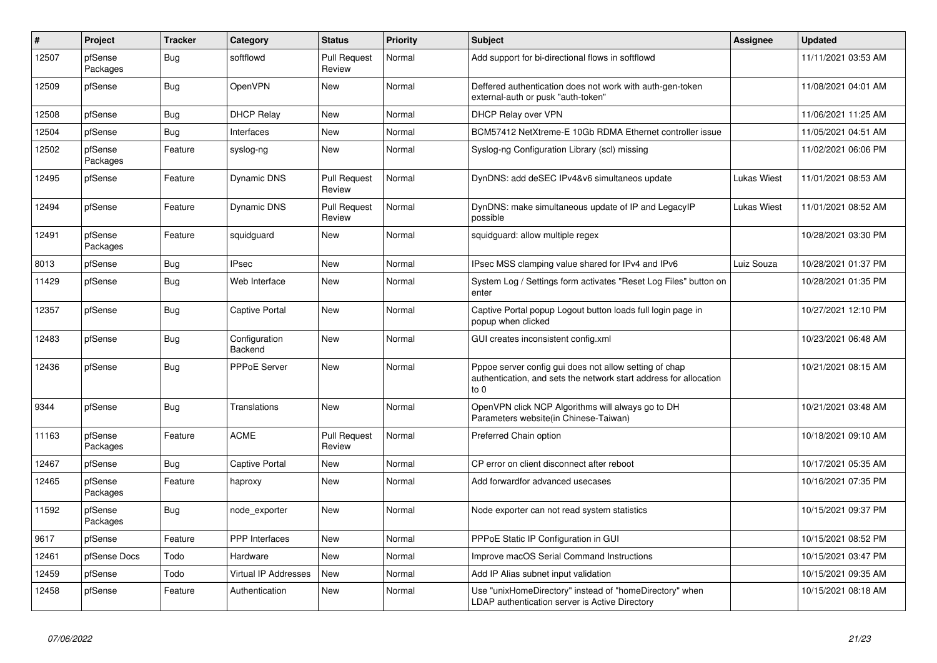| $\vert$ # | Project             | <b>Tracker</b> | Category                 | <b>Status</b>                 | Priority | <b>Subject</b>                                                                                                                      | Assignee           | <b>Updated</b>      |
|-----------|---------------------|----------------|--------------------------|-------------------------------|----------|-------------------------------------------------------------------------------------------------------------------------------------|--------------------|---------------------|
| 12507     | pfSense<br>Packages | Bug            | softflowd                | <b>Pull Request</b><br>Review | Normal   | Add support for bi-directional flows in softflowd                                                                                   |                    | 11/11/2021 03:53 AM |
| 12509     | pfSense             | <b>Bug</b>     | OpenVPN                  | New                           | Normal   | Deffered authentication does not work with auth-gen-token<br>external-auth or pusk "auth-token"                                     |                    | 11/08/2021 04:01 AM |
| 12508     | pfSense             | Bug            | <b>DHCP Relay</b>        | New                           | Normal   | <b>DHCP Relay over VPN</b>                                                                                                          |                    | 11/06/2021 11:25 AM |
| 12504     | pfSense             | Bug            | Interfaces               | New                           | Normal   | BCM57412 NetXtreme-E 10Gb RDMA Ethernet controller issue                                                                            |                    | 11/05/2021 04:51 AM |
| 12502     | pfSense<br>Packages | Feature        | syslog-ng                | New                           | Normal   | Syslog-ng Configuration Library (scl) missing                                                                                       |                    | 11/02/2021 06:06 PM |
| 12495     | pfSense             | Feature        | Dynamic DNS              | <b>Pull Request</b><br>Review | Normal   | DynDNS: add deSEC IPv4&v6 simultaneos update                                                                                        | Lukas Wiest        | 11/01/2021 08:53 AM |
| 12494     | pfSense             | Feature        | Dynamic DNS              | <b>Pull Request</b><br>Review | Normal   | DynDNS: make simultaneous update of IP and LegacyIP<br>possible                                                                     | <b>Lukas Wiest</b> | 11/01/2021 08:52 AM |
| 12491     | pfSense<br>Packages | Feature        | squidguard               | New                           | Normal   | squidguard: allow multiple regex                                                                                                    |                    | 10/28/2021 03:30 PM |
| 8013      | pfSense             | <b>Bug</b>     | <b>IPsec</b>             | <b>New</b>                    | Normal   | IPsec MSS clamping value shared for IPv4 and IPv6                                                                                   | Luiz Souza         | 10/28/2021 01:37 PM |
| 11429     | pfSense             | <b>Bug</b>     | Web Interface            | New                           | Normal   | System Log / Settings form activates "Reset Log Files" button on<br>enter                                                           |                    | 10/28/2021 01:35 PM |
| 12357     | pfSense             | <b>Bug</b>     | <b>Captive Portal</b>    | <b>New</b>                    | Normal   | Captive Portal popup Logout button loads full login page in<br>popup when clicked                                                   |                    | 10/27/2021 12:10 PM |
| 12483     | pfSense             | <b>Bug</b>     | Configuration<br>Backend | <b>New</b>                    | Normal   | GUI creates inconsistent config.xml                                                                                                 |                    | 10/23/2021 06:48 AM |
| 12436     | pfSense             | <b>Bug</b>     | <b>PPPoE Server</b>      | <b>New</b>                    | Normal   | Pppoe server config gui does not allow setting of chap<br>authentication, and sets the network start address for allocation<br>to 0 |                    | 10/21/2021 08:15 AM |
| 9344      | pfSense             | <b>Bug</b>     | Translations             | <b>New</b>                    | Normal   | OpenVPN click NCP Algorithms will always go to DH<br>Parameters website(in Chinese-Taiwan)                                          |                    | 10/21/2021 03:48 AM |
| 11163     | pfSense<br>Packages | Feature        | <b>ACME</b>              | <b>Pull Request</b><br>Review | Normal   | Preferred Chain option                                                                                                              |                    | 10/18/2021 09:10 AM |
| 12467     | pfSense             | Bug            | Captive Portal           | <b>New</b>                    | Normal   | CP error on client disconnect after reboot                                                                                          |                    | 10/17/2021 05:35 AM |
| 12465     | pfSense<br>Packages | Feature        | haproxy                  | New                           | Normal   | Add forwardfor advanced usecases                                                                                                    |                    | 10/16/2021 07:35 PM |
| 11592     | pfSense<br>Packages | <b>Bug</b>     | node exporter            | New                           | Normal   | Node exporter can not read system statistics                                                                                        |                    | 10/15/2021 09:37 PM |
| 9617      | pfSense             | Feature        | <b>PPP</b> Interfaces    | <b>New</b>                    | Normal   | PPPoE Static IP Configuration in GUI                                                                                                |                    | 10/15/2021 08:52 PM |
| 12461     | pfSense Docs        | Todo           | Hardware                 | New                           | Normal   | Improve macOS Serial Command Instructions                                                                                           |                    | 10/15/2021 03:47 PM |
| 12459     | pfSense             | Todo           | Virtual IP Addresses     | New                           | Normal   | Add IP Alias subnet input validation                                                                                                |                    | 10/15/2021 09:35 AM |
| 12458     | pfSense             | Feature        | Authentication           | New                           | Normal   | Use "unixHomeDirectory" instead of "homeDirectory" when<br>LDAP authentication server is Active Directory                           |                    | 10/15/2021 08:18 AM |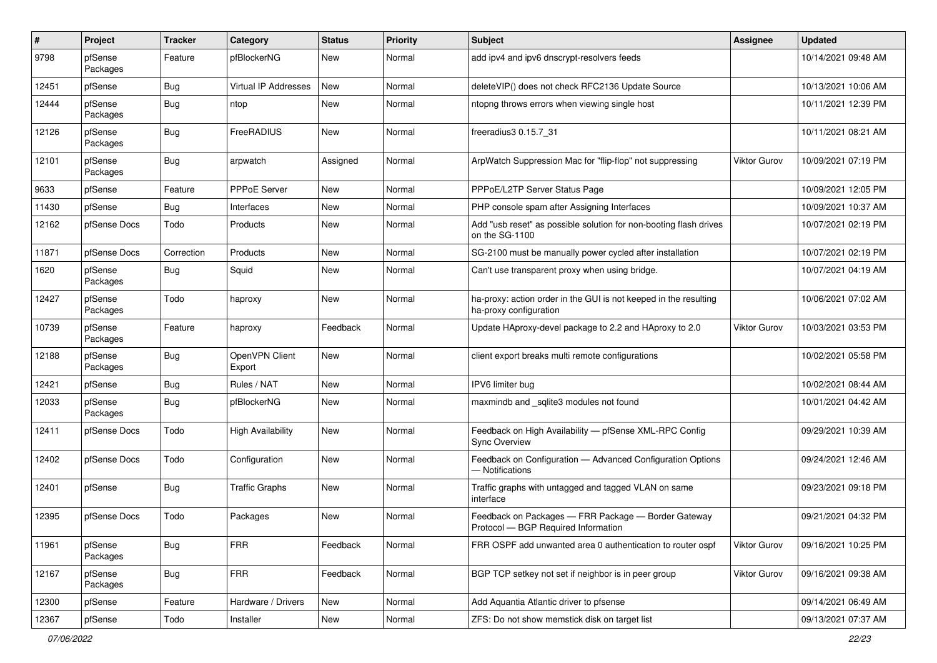| #     | Project             | <b>Tracker</b> | Category                 | <b>Status</b> | <b>Priority</b> | Subject                                                                                    | <b>Assignee</b>     | <b>Updated</b>      |
|-------|---------------------|----------------|--------------------------|---------------|-----------------|--------------------------------------------------------------------------------------------|---------------------|---------------------|
| 9798  | pfSense<br>Packages | Feature        | pfBlockerNG              | New           | Normal          | add ipv4 and ipv6 dnscrypt-resolvers feeds                                                 |                     | 10/14/2021 09:48 AM |
| 12451 | pfSense             | Bug            | Virtual IP Addresses     | <b>New</b>    | Normal          | deleteVIP() does not check RFC2136 Update Source                                           |                     | 10/13/2021 10:06 AM |
| 12444 | pfSense<br>Packages | <b>Bug</b>     | ntop                     | New           | Normal          | ntopng throws errors when viewing single host                                              |                     | 10/11/2021 12:39 PM |
| 12126 | pfSense<br>Packages | Bug            | FreeRADIUS               | New           | Normal          | freeradius3 0.15.7 31                                                                      |                     | 10/11/2021 08:21 AM |
| 12101 | pfSense<br>Packages | Bug            | arpwatch                 | Assigned      | Normal          | ArpWatch Suppression Mac for "flip-flop" not suppressing                                   | Viktor Gurov        | 10/09/2021 07:19 PM |
| 9633  | pfSense             | Feature        | PPPoE Server             | New           | Normal          | PPPoE/L2TP Server Status Page                                                              |                     | 10/09/2021 12:05 PM |
| 11430 | pfSense             | <b>Bug</b>     | Interfaces               | New           | Normal          | PHP console spam after Assigning Interfaces                                                |                     | 10/09/2021 10:37 AM |
| 12162 | pfSense Docs        | Todo           | Products                 | New           | Normal          | Add "usb reset" as possible solution for non-booting flash drives<br>on the SG-1100        |                     | 10/07/2021 02:19 PM |
| 11871 | pfSense Docs        | Correction     | Products                 | New           | Normal          | SG-2100 must be manually power cycled after installation                                   |                     | 10/07/2021 02:19 PM |
| 1620  | pfSense<br>Packages | <b>Bug</b>     | Squid                    | New           | Normal          | Can't use transparent proxy when using bridge.                                             |                     | 10/07/2021 04:19 AM |
| 12427 | pfSense<br>Packages | Todo           | haproxy                  | New           | Normal          | ha-proxy: action order in the GUI is not keeped in the resulting<br>ha-proxy configuration |                     | 10/06/2021 07:02 AM |
| 10739 | pfSense<br>Packages | Feature        | haproxy                  | Feedback      | Normal          | Update HAproxy-devel package to 2.2 and HAproxy to 2.0                                     | <b>Viktor Gurov</b> | 10/03/2021 03:53 PM |
| 12188 | pfSense<br>Packages | Bug            | OpenVPN Client<br>Export | New           | Normal          | client export breaks multi remote configurations                                           |                     | 10/02/2021 05:58 PM |
| 12421 | pfSense             | Bug            | Rules / NAT              | <b>New</b>    | Normal          | IPV6 limiter bug                                                                           |                     | 10/02/2021 08:44 AM |
| 12033 | pfSense<br>Packages | <b>Bug</b>     | pfBlockerNG              | New           | Normal          | maxmindb and _sqlite3 modules not found                                                    |                     | 10/01/2021 04:42 AM |
| 12411 | pfSense Docs        | Todo           | <b>High Availability</b> | New           | Normal          | Feedback on High Availability - pfSense XML-RPC Config<br><b>Sync Overview</b>             |                     | 09/29/2021 10:39 AM |
| 12402 | pfSense Docs        | Todo           | Configuration            | New           | Normal          | Feedback on Configuration - Advanced Configuration Options<br>- Notifications              |                     | 09/24/2021 12:46 AM |
| 12401 | pfSense             | <b>Bug</b>     | <b>Traffic Graphs</b>    | New           | Normal          | Traffic graphs with untagged and tagged VLAN on same<br>interface                          |                     | 09/23/2021 09:18 PM |
| 12395 | pfSense Docs        | Todo           | Packages                 | New           | Normal          | Feedback on Packages - FRR Package - Border Gateway<br>Protocol - BGP Required Information |                     | 09/21/2021 04:32 PM |
| 11961 | pfSense<br>Packages | <b>Bug</b>     | <b>FRR</b>               | Feedback      | Normal          | FRR OSPF add unwanted area 0 authentication to router ospf                                 | <b>Viktor Gurov</b> | 09/16/2021 10:25 PM |
| 12167 | pfSense<br>Packages | <b>Bug</b>     | <b>FRR</b>               | Feedback      | Normal          | BGP TCP setkey not set if neighbor is in peer group                                        | Viktor Gurov        | 09/16/2021 09:38 AM |
| 12300 | pfSense             | Feature        | Hardware / Drivers       | New           | Normal          | Add Aquantia Atlantic driver to pfsense                                                    |                     | 09/14/2021 06:49 AM |
| 12367 | pfSense             | Todo           | Installer                | New           | Normal          | ZFS: Do not show memstick disk on target list                                              |                     | 09/13/2021 07:37 AM |